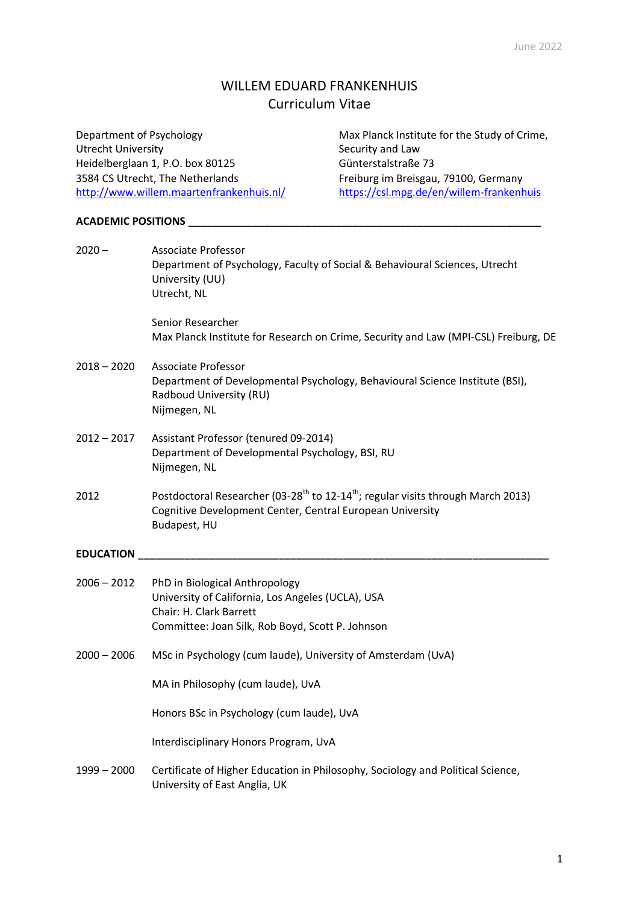# WILLEM EDUARD FRANKENHUIS Curriculum Vitae

| Department of Psychology                                          |                                                                                                                                                                    | Max Planck Institute for the Study of Crime,                                                             |
|-------------------------------------------------------------------|--------------------------------------------------------------------------------------------------------------------------------------------------------------------|----------------------------------------------------------------------------------------------------------|
| <b>Utrecht University</b>                                         |                                                                                                                                                                    | Security and Law                                                                                         |
| Heidelberglaan 1, P.O. box 80125                                  |                                                                                                                                                                    | Günterstalstraße 73                                                                                      |
| 3584 CS Utrecht, The Netherlands                                  |                                                                                                                                                                    | Freiburg im Breisgau, 79100, Germany                                                                     |
|                                                                   | http://www.willem.maartenfrankenhuis.nl/                                                                                                                           | https://csl.mpg.de/en/willem-frankenhuis                                                                 |
| <b>ACADEMIC POSITIONS</b>                                         |                                                                                                                                                                    |                                                                                                          |
| $2020 -$<br>Associate Professor<br>University (UU)<br>Utrecht, NL |                                                                                                                                                                    | Department of Psychology, Faculty of Social & Behavioural Sciences, Utrecht                              |
|                                                                   | Senior Researcher                                                                                                                                                  | Max Planck Institute for Research on Crime, Security and Law (MPI-CSL) Freiburg, DE                      |
| $2018 - 2020$                                                     | <b>Associate Professor</b><br>Radboud University (RU)<br>Nijmegen, NL                                                                                              | Department of Developmental Psychology, Behavioural Science Institute (BSI),                             |
| $2012 - 2017$                                                     | Assistant Professor (tenured 09-2014)<br>Department of Developmental Psychology, BSI, RU<br>Nijmegen, NL                                                           |                                                                                                          |
| 2012                                                              | Cognitive Development Center, Central European University<br>Budapest, HU                                                                                          | Postdoctoral Researcher (03-28 <sup>th</sup> to 12-14 <sup>th</sup> ; regular visits through March 2013) |
| <b>EDUCATION</b>                                                  |                                                                                                                                                                    |                                                                                                          |
| $2006 - 2012$                                                     | PhD in Biological Anthropology<br>University of California, Los Angeles (UCLA), USA<br>Chair: H. Clark Barrett<br>Committee: Joan Silk, Rob Boyd, Scott P. Johnson |                                                                                                          |
| $2000 - 2006$                                                     | MSc in Psychology (cum laude), University of Amsterdam (UvA)                                                                                                       |                                                                                                          |

MA in Philosophy (cum laude), UvA

Honors BSc in Psychology (cum laude), UvA

Interdisciplinary Honors Program, UvA

1999 – 2000 Certificate of Higher Education in Philosophy, Sociology and Political Science, University of East Anglia, UK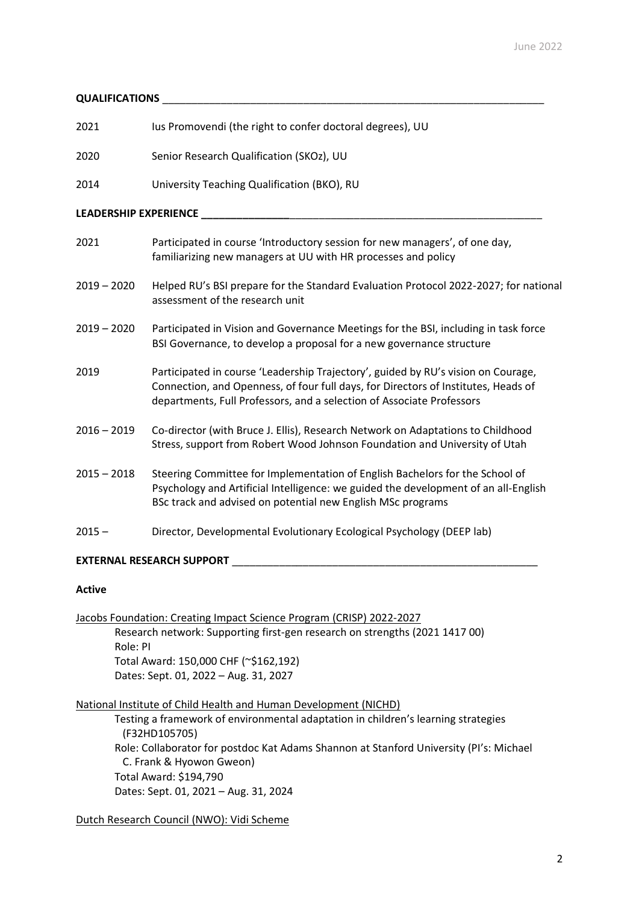## **QUALIFICATIONS** \_\_\_\_\_\_\_\_\_\_\_\_\_\_\_\_\_\_\_\_\_\_\_\_\_\_\_\_\_\_\_\_\_\_\_\_\_\_\_\_\_\_\_\_\_\_\_\_\_\_\_\_\_\_\_\_\_\_\_\_\_\_\_\_\_

| 2021 | lus Promovendi (the right to confer doctoral degrees), UU |
|------|-----------------------------------------------------------|
| 2020 | Senior Research Qualification (SKOz), UU                  |

2014 University Teaching Qualification (BKO), RU

## **LEADERSHIP EXPERIENCE \_\_\_\_\_\_\_\_\_\_\_\_\_\_\_**\_\_\_\_\_\_\_\_\_\_\_\_\_\_\_\_\_\_\_\_\_\_\_\_\_\_\_\_\_\_\_\_\_\_\_\_\_\_\_\_\_\_\_

| 2021 | Participated in course 'Introductory session for new managers', of one day, |
|------|-----------------------------------------------------------------------------|
|      | familiarizing new managers at UU with HR processes and policy               |

- 2019 2020 Helped RU's BSI prepare for the Standard Evaluation Protocol 2022-2027; for national assessment of the research unit
- 2019 2020 Participated in Vision and Governance Meetings for the BSI, including in task force BSI Governance, to develop a proposal for a new governance structure
- 2019 Participated in course 'Leadership Trajectory', guided by RU's vision on Courage, Connection, and Openness, of four full days, for Directors of Institutes, Heads of departments, Full Professors, and a selection of Associate Professors
- 2016 2019 Co-director (with Bruce J. Ellis), Research Network on Adaptations to Childhood Stress, support from Robert Wood Johnson Foundation and University of Utah
- 2015 2018 Steering Committee for Implementation of English Bachelors for the School of Psychology and Artificial Intelligence: we guided the development of an all-English BSc track and advised on potential new English MSc programs
- 2015 Director, Developmental Evolutionary Ecological Psychology (DEEP lab)

## **EXTERNAL RESEARCH SUPPORT** \_\_\_\_\_\_\_\_\_\_\_\_\_\_\_\_\_\_\_\_\_\_\_\_\_\_\_\_\_\_\_\_\_\_\_\_\_\_\_\_\_\_\_\_\_\_\_\_\_\_\_\_

## **Active**

Jacobs Foundation: Creating Impact Science Program (CRISP) 2022-2027 Research network: Supporting first-gen research on strengths (2021 1417 00) Role: PI Total Award: 150,000 CHF (~\$162,192) Dates: Sept. 01, 2022 – Aug. 31, 2027

### National Institute of Child Health and Human Development (NICHD)

Testing a framework of environmental adaptation in children's learning strategies (F32HD105705) Role: Collaborator for postdoc Kat Adams Shannon at Stanford University (PI's: Michael C. Frank & Hyowon Gweon) Total Award: \$194,790 Dates: Sept. 01, 2021 – Aug. 31, 2024

Dutch Research Council (NWO): Vidi Scheme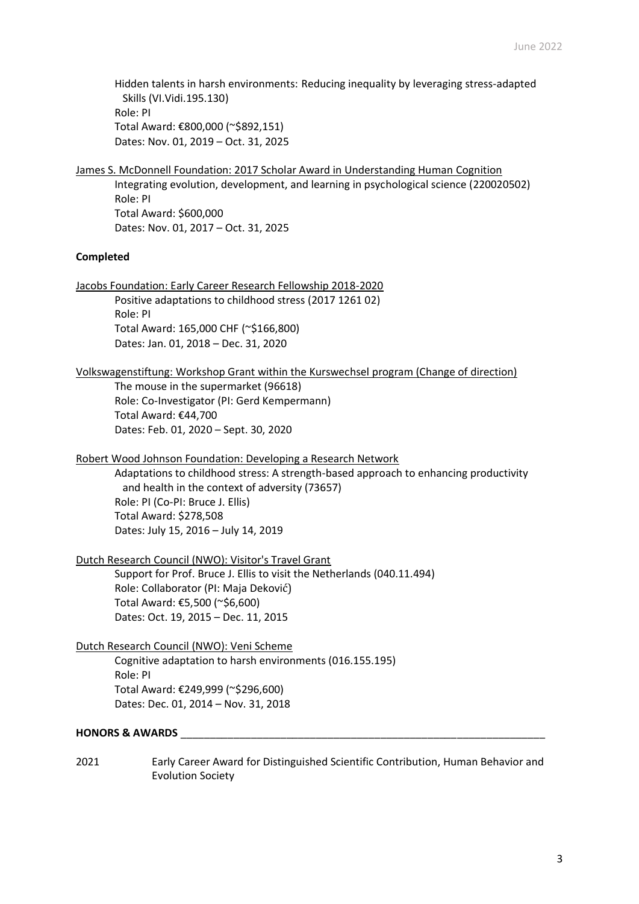Hidden talents in harsh environments: Reducing inequality by leveraging stress-adapted Skills (VI.Vidi.195.130) Role: PI Total Award: €800,000 (~\$892,151) Dates: Nov. 01, 2019 – Oct. 31, 2025

## James S. McDonnell Foundation: 2017 Scholar Award in Understanding Human Cognition

Integrating evolution, development, and learning in psychological science (220020502) Role: PI Total Award: \$600,000 Dates: Nov. 01, 2017 – Oct. 31, 2025

## **Completed**

Jacobs Foundation: Early Career Research Fellowship 2018-2020

Positive adaptations to childhood stress (2017 1261 02) Role: PI Total Award: 165,000 CHF (~\$166,800)

Dates: Jan. 01, 2018 – Dec. 31, 2020

## Volkswagenstiftung: Workshop Grant within the Kurswechsel program (Change of direction)

The mouse in the supermarket (96618) Role: Co-Investigator (PI: Gerd Kempermann) Total Award: €44,700 Dates: Feb. 01, 2020 – Sept. 30, 2020

### Robert Wood Johnson Foundation: Developing a Research Network

Adaptations to childhood stress: A strength-based approach to enhancing productivity and health in the context of adversity (73657) Role: PI (Co-PI: Bruce J. Ellis) Total Award: \$278,508 Dates: July 15, 2016 – July 14, 2019

## Dutch Research Council (NWO): Visitor's Travel Grant

Support for Prof. Bruce J. Ellis to visit the Netherlands (040.11.494) Role: Collaborator (PI: Maja Deković) Total Award: €5,500 (~\$6,600) Dates: Oct. 19, 2015 – Dec. 11, 2015

## Dutch Research Council (NWO): Veni Scheme

Cognitive adaptation to harsh environments (016.155.195) Role: PI Total Award: €249,999 (~\$296,600) Dates: Dec. 01, 2014 – Nov. 31, 2018

## **HONORS & AWARDS** \_\_\_\_\_\_\_\_\_\_\_\_\_\_\_\_\_\_\_\_\_\_\_\_\_\_\_\_\_\_\_\_\_\_\_\_\_\_\_\_\_\_\_\_\_\_\_\_\_\_\_\_\_\_\_\_\_\_\_\_\_\_

2021 Early Career Award for Distinguished Scientific Contribution, Human Behavior and Evolution Society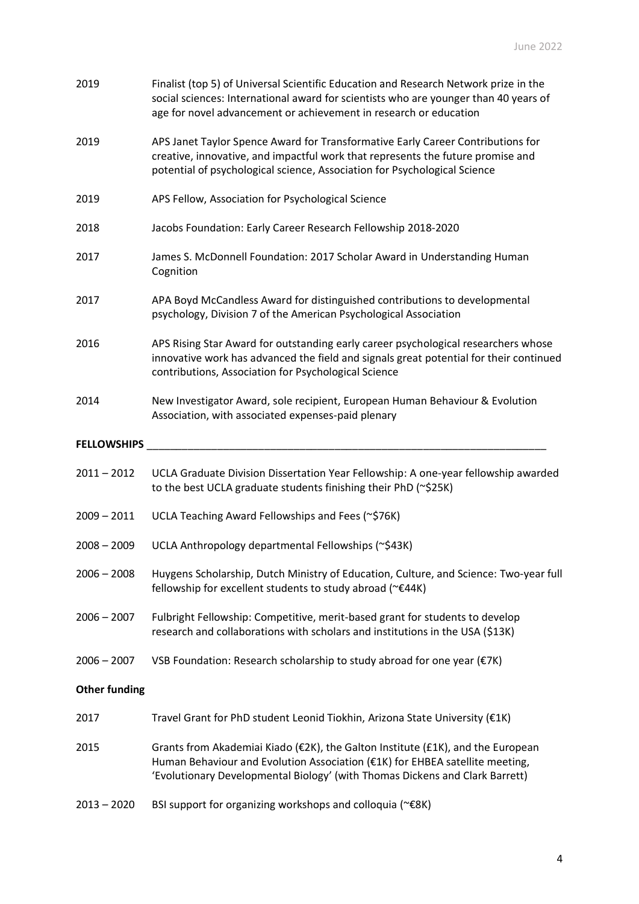| 2019                 | Finalist (top 5) of Universal Scientific Education and Research Network prize in the<br>social sciences: International award for scientists who are younger than 40 years of<br>age for novel advancement or achievement in research or education |
|----------------------|---------------------------------------------------------------------------------------------------------------------------------------------------------------------------------------------------------------------------------------------------|
| 2019                 | APS Janet Taylor Spence Award for Transformative Early Career Contributions for<br>creative, innovative, and impactful work that represents the future promise and<br>potential of psychological science, Association for Psychological Science   |
| 2019                 | APS Fellow, Association for Psychological Science                                                                                                                                                                                                 |
| 2018                 | Jacobs Foundation: Early Career Research Fellowship 2018-2020                                                                                                                                                                                     |
| 2017                 | James S. McDonnell Foundation: 2017 Scholar Award in Understanding Human<br>Cognition                                                                                                                                                             |
| 2017                 | APA Boyd McCandless Award for distinguished contributions to developmental<br>psychology, Division 7 of the American Psychological Association                                                                                                    |
| 2016                 | APS Rising Star Award for outstanding early career psychological researchers whose<br>innovative work has advanced the field and signals great potential for their continued<br>contributions, Association for Psychological Science              |
| 2014                 | New Investigator Award, sole recipient, European Human Behaviour & Evolution<br>Association, with associated expenses-paid plenary                                                                                                                |
| <b>FELLOWSHIPS</b>   |                                                                                                                                                                                                                                                   |
| $2011 - 2012$        | UCLA Graduate Division Dissertation Year Fellowship: A one-year fellowship awarded<br>to the best UCLA graduate students finishing their PhD (~\$25K)                                                                                             |
| $2009 - 2011$        | UCLA Teaching Award Fellowships and Fees (~\$76K)                                                                                                                                                                                                 |
| $2008 - 2009$        | UCLA Anthropology departmental Fellowships (~\$43K)                                                                                                                                                                                               |
| $2006 - 2008$        | Huygens Scholarship, Dutch Ministry of Education, Culture, and Science: Two-year full<br>fellowship for excellent students to study abroad (~€44K)                                                                                                |
| $2006 - 2007$        | Fulbright Fellowship: Competitive, merit-based grant for students to develop<br>research and collaborations with scholars and institutions in the USA (\$13K)                                                                                     |
| $2006 - 2007$        | VSB Foundation: Research scholarship to study abroad for one year (€7K)                                                                                                                                                                           |
| <b>Other funding</b> |                                                                                                                                                                                                                                                   |
| 2017                 | Travel Grant for PhD student Leonid Tiokhin, Arizona State University (€1K)                                                                                                                                                                       |
| 2015                 | Grants from Akademiai Kiado (€2K), the Galton Institute (£1K), and the European<br>Human Behaviour and Evolution Association (€1K) for EHBEA satellite meeting,<br>'Evolutionary Developmental Biology' (with Thomas Dickens and Clark Barrett)   |
| $2013 - 2020$        | BSI support for organizing workshops and colloquia (~€8K)                                                                                                                                                                                         |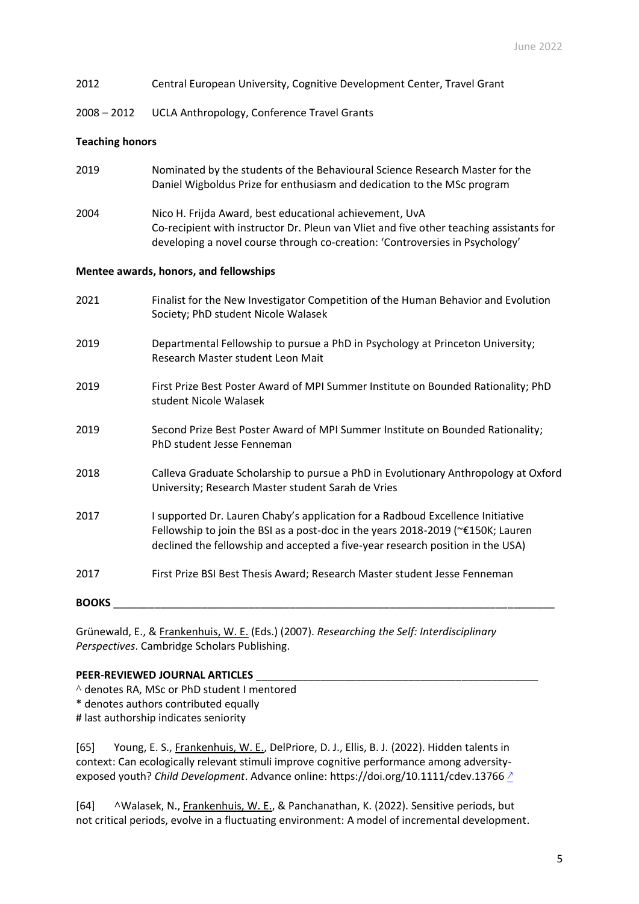2008 – 2012 UCLA Anthropology, Conference Travel Grants

### **Teaching honors**

- 2019 Nominated by the students of the Behavioural Science Research Master for the Daniel Wigboldus Prize for enthusiasm and dedication to the MSc program
- 2004 Nico H. Frijda Award, best educational achievement, UvA Co-recipient with instructor Dr. Pleun van Vliet and five other teaching assistants for developing a novel course through co-creation: 'Controversies in Psychology'

### **Mentee awards, honors, and fellowships**

| 2021         | Finalist for the New Investigator Competition of the Human Behavior and Evolution<br>Society; PhD student Nicole Walasek                                                                                                                                        |
|--------------|-----------------------------------------------------------------------------------------------------------------------------------------------------------------------------------------------------------------------------------------------------------------|
| 2019         | Departmental Fellowship to pursue a PhD in Psychology at Princeton University;<br>Research Master student Leon Mait                                                                                                                                             |
| 2019         | First Prize Best Poster Award of MPI Summer Institute on Bounded Rationality; PhD<br>student Nicole Walasek                                                                                                                                                     |
| 2019         | Second Prize Best Poster Award of MPI Summer Institute on Bounded Rationality;<br>PhD student Jesse Fenneman                                                                                                                                                    |
| 2018         | Calleva Graduate Scholarship to pursue a PhD in Evolutionary Anthropology at Oxford<br>University; Research Master student Sarah de Vries                                                                                                                       |
| 2017         | I supported Dr. Lauren Chaby's application for a Radboud Excellence Initiative<br>Fellowship to join the BSI as a post-doc in the years 2018-2019 ( $\textless$ €150K; Lauren<br>declined the fellowship and accepted a five-year research position in the USA) |
| 2017         | First Prize BSI Best Thesis Award; Research Master student Jesse Fenneman                                                                                                                                                                                       |
| <b>BOOKS</b> |                                                                                                                                                                                                                                                                 |

Grünewald, E., & Frankenhuis, W. E. (Eds.) (2007). *Researching the Self: Interdisciplinary Perspectives*. Cambridge Scholars Publishing.

### PEER-REVIEWED JOURNAL ARTICLES

^ denotes RA, MSc or PhD student I mentored

\* denotes authors contributed equally

# last authorship indicates seniority

[65] Young, E. S., Frankenhuis, W. E., DelPriore, D. J., Ellis, B. J. (2022). Hidden talents in context: Can ecologically relevant stimuli improve cognitive performance among adversityexposed youth? *Child Development*. Advance online: https://doi.org/10.1111/cdev.13766 [↗](https://doi.org/10.1111/cdev.13766)

[64] **^**Walasek, N., Frankenhuis, W. E., & Panchanathan, K. (2022). Sensitive periods, but not critical periods, evolve in a fluctuating environment: A model of incremental development.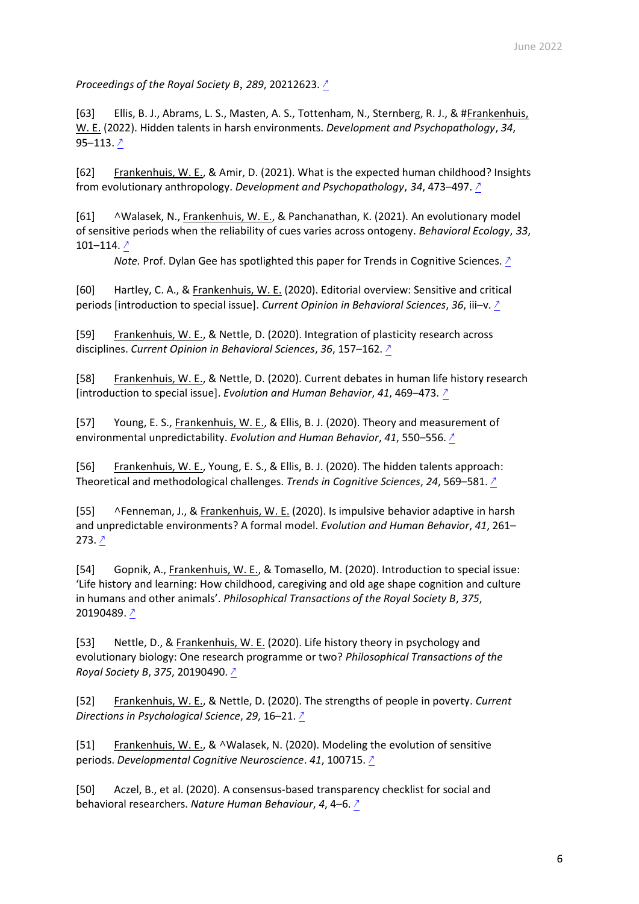*Proceedings of the Royal Society B*, *289*, 20212623. [↗](https://doi.org/10.1098/rspb.2021.2623)

[63] Ellis, B. J., Abrams, L. S., Masten, A. S., Tottenham, N., Sternberg, R. J., & #Frankenhuis, W. E. (2022). Hidden talents in harsh environments. *Development and Psychopathology*, *34*, 95–113. [↗](https://doi.org/10.1017/S0954579420000887)

[62] Frankenhuis, W. E., & Amir, D. (2021). What is the expected human childhood? Insights from evolutionary anthropology. *Development and Psychopathology*, *34*, 473–497. [↗](https://doi.org/10.1017/S0954579421001401)

[61] **^**Walasek, N., Frankenhuis, W. E., & Panchanathan, K. (2021). An evolutionary model of sensitive periods when the reliability of cues varies across ontogeny. *Behavioral Ecology*, *33*, 101–114.  $\sqrt{2}$ 

*Note.* Prof. Dylan Gee has spotlighted this paper for Trends in Cognitive Sciences. ↑

[60] Hartley, C. A., & Frankenhuis, W. E. (2020). Editorial overview: Sensitive and critical periods [introduction to special issue]. *Current Opinion in Behavioral Sciences, 36,* iii−v. <u>↑</u>

[59] Frankenhuis, W. E., & Nettle, D. (2020). Integration of plasticity research across disciplines. *Current Opinion in Behavioral Sciences*, *36*, 157–162. [↗](https://doi.org/10.1016/j.cobeha.2020.10.012)

[58] Frankenhuis, W. E., & Nettle, D. (2020). Current debates in human life history research [introduction to special issue]. *Evolution and Human Behavior*, *41*, 469–473. [↗](https://doi.org/10.1016/j.evolhumbehav.2020.09.005)

[57] Young, E. S., Frankenhuis, W. E., & Ellis, B. J. (2020). Theory and measurement of environmental unpredictability. *Evolution and Human Behavior*, *41*, 550–556. [↗](https://doi.org/10.1016/j.evolhumbehav.2020.08.006)

[56] Frankenhuis, W. E., Young, E. S., & Ellis, B. J. (2020). The hidden talents approach: Theoretical and methodological challenges. *Trends in Cognitive Sciences*, *24*, 569–581. [↗](https://doi.org/10.1016/j.tics.2020.03.007)

[55] **^**Fenneman, J., & Frankenhuis, W. E. (2020). Is impulsive behavior adaptive in harsh and unpredictable environments? A formal model. *Evolution and Human Behavior*, *41*, 261– 273. [↗](https://doi.org/10.1016/j.evolhumbehav.2020.02.005)

[54] Gopnik, A., Frankenhuis, W. E., & Tomasello, M. (2020). Introduction to special issue: 'Life history and learning: How childhood, caregiving and old age shape cognition and culture in humans and other animals'. *Philosophical Transactions of the Royal Society B*, *375*, 20190489. [↗](https://doi.org/10.1098/rstb.2019.0489)

[53] Nettle, D., & Frankenhuis, W. E. (2020). Life history theory in psychology and evolutionary biology: One research programme or two? *Philosophical Transactions of the Royal Society B*, *375*, 20190490. [↗](https://doi.org/10.1098/rstb.2019.0490)

[52] Frankenhuis, W. E., & Nettle, D. (2020). The strengths of people in poverty. *Current Directions in Psychological Science*, *29*, 16–21. [↗](https://doi.org/10.1177/0963721419881154)

[51] Frankenhuis, W. E., & **^**Walasek, N. (2020). Modeling the evolution of sensitive periods. *Developmental Cognitive Neuroscience*. *41*, 100715. [↗](https://doi.org/10.1016/j.dcn.2019.100715)

[50] Aczel, B., et al. (2020). A consensus-based transparency checklist for social and behavioral researchers. *Nature Human Behaviour*, *4*, 4–6. [↗](https://doi.org/10.1038/s41562-019-0772-6)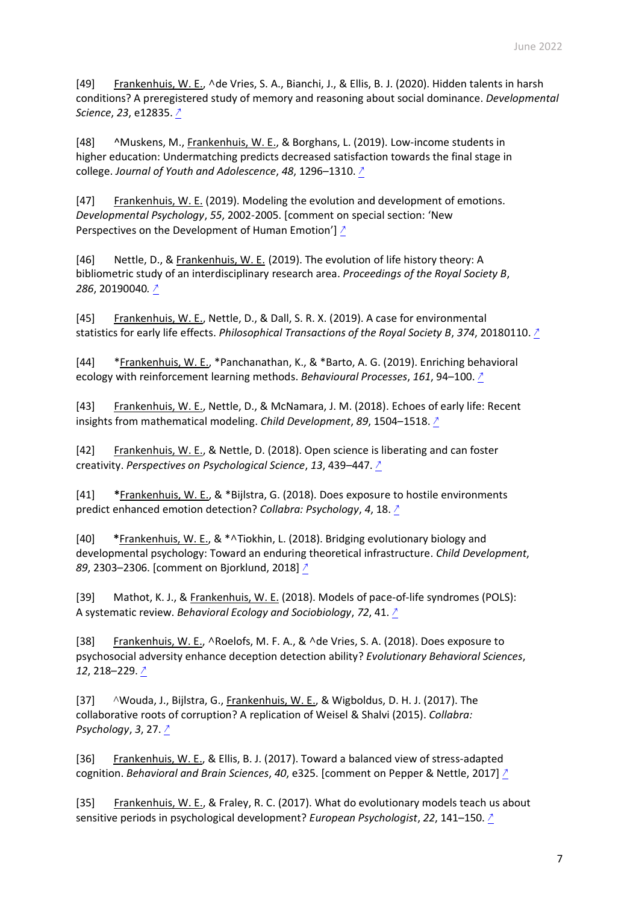[49] Frankenhuis, W. E., **^**de Vries, S. A., Bianchi, J., & Ellis, B. J. (2020). Hidden talents in harsh conditions? A preregistered study of memory and reasoning about social dominance. *Developmental Science*, *23*, e12835. [↗](https://doi.org/10.1111/desc.12835)

[48] ^Muskens, M., Frankenhuis, W. E., & Borghans, L. (2019). Low-income students in higher education: Undermatching predicts decreased satisfaction towards the final stage in college. *Journal of Youth and Adolescence*, *48*, 1296–1310. [↗](https://doi.org/10.1007/s10964-019-01022-1)

[47] Frankenhuis, W. E. (2019). Modeling the evolution and development of emotions. *Developmental Psychology*, *55*, 2002-2005. [comment on special section: 'New Perspectives on the Development of Human Emotion'] ↑

[46] Nettle, D., & Frankenhuis, W. E. (2019). The evolution of life history theory: A bibliometric study of an interdisciplinary research area. *Proceedings of the Royal Society B*, *286*, 20190040*.* [↗](https://doi.org/10.1098/rspb.2019.0040)

[45] Frankenhuis, W. E., Nettle, D., & Dall, S. R. X. (2019). A case for environmental statistics for early life effects. *Philosophical Transactions of the Royal Society B*, *374*, 20180110. [↗](https://doi.org/10.1098/rstb.2018.0110)

[44] \*Frankenhuis, W. E., \*Panchanathan, K., & \*Barto, A. G. (2019). Enriching behavioral ecology with reinforcement learning methods. *Behavioural Processes*, *161*, 94–100. [↗](https://doi.org/10.1016/j.beproc.2018.01.008)

[43] Frankenhuis, W. E., Nettle, D., & McNamara, J. M. (2018). Echoes of early life: Recent insights from mathematical modeling. *Child Development*, *89*, 1504–1518. [↗](https://doi.org/10.1111/cdev.13108)

[42] Frankenhuis, W. E., & Nettle, D. (2018). Open science is liberating and can foster creativity. *Perspectives on Psychological Science*, *13*, 439–447. [↗](https://doi.org/10.1177/1745691618767878)

[41] **\***Frankenhuis, W. E., & \*Bijlstra, G. (2018). Does exposure to hostile environments predict enhanced emotion detection? *Collabra: Psychology*, *4*, 18. [↗](https://doi.org/10.1525/collabra.127)

[40] **\***Frankenhuis, W. E., & \***^**Tiokhin, L. (2018). Bridging evolutionary biology and developmental psychology: Toward an enduring theoretical infrastructure. *Child Development*, *89,* 2303–2306. [comment on Bjorklund, 2018] 2

[39] Mathot, K. J., & Frankenhuis, W. E. (2018). Models of pace-of-life syndromes (POLS): A systematic review. *Behavioral Ecology and Sociobiology*, *72*, 41. [↗](https://doi.org/10.1007/s00265-018-2459-9)

[38] Frankenhuis, W. E., **^**Roelofs, M. F. A., & **^**de Vries, S. A. (2018). Does exposure to psychosocial adversity enhance deception detection ability? *Evolutionary Behavioral Sciences*, *12*, 218–229. [↗](https://doi.org/10.1037/ebs0000103)

[37] ^Wouda, J., Bijlstra, G., Frankenhuis, W. E., & Wigboldus, D. H. J. (2017). The collaborative roots of corruption? A replication of Weisel & Shalvi (2015). *Collabra: Psychology*, *3*, 27. [↗](https://doi.org/10.1525/collabra.97)

[36] Frankenhuis, W. E., & Ellis, B. J. (2017). Toward a balanced view of stress-adapted cognition. *Behavioral and Brain Sciences*, *40*, e325. [comment on Pepper & Nettle, 2017] [↗](https://doi.org/10.1017/S0140525X17000954)

[35] Frankenhuis, W. E., & Fraley, R. C. (2017). What do evolutionary models teach us about sensitive periods in psychological development? *European Psychologist*, *22*, 141–150. [↗](https://doi.org/10.1027/1016-9040/a000265)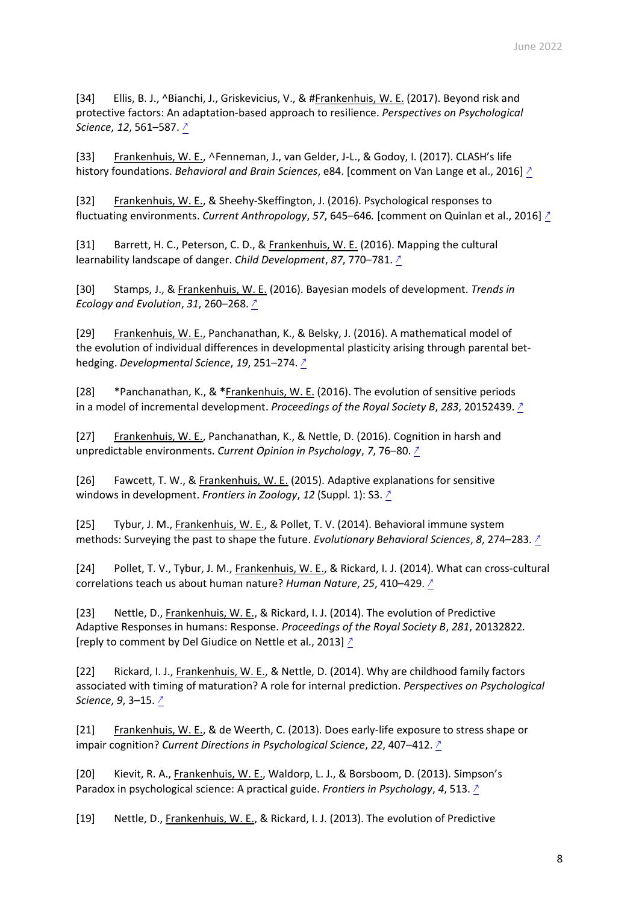[34] Ellis, B. J., ^Bianchi, J., Griskevicius, V., & #Frankenhuis, W. E. (2017). Beyond risk and protective factors: An adaptation-based approach to resilience. *Perspectives on Psychological Science*, *12*, 561–587. [↗](https://doi.org/10.1177/1745691617693054)

[33] Frankenhuis, W. E., **^**Fenneman, J., van Gelder, J-L., & Godoy, I. (2017). CLASH's life history foundations. *Behavioral and Brain Sciences*, e84. [comment on Van Lange et al., 2016] [↗](https://doi.org/10.1017/S0140525X16001011)

[32] Frankenhuis, W. E., & Sheehy-Skeffington, J. (2016). Psychological responses to fluctuating environments. *Current Anthropology*, *57*, 645–646*.* [comment on Quinlan et al., 2016] [↗](http://www.willem.maartenfrankenhuis.nl/wp-content/uploads/2016/09/2016.pdf)

[31] Barrett, H. C., Peterson, C. D., & Frankenhuis, W. E. (2016). Mapping the cultural learnability landscape of danger. *Child Development*, *87*, 770–781. [↗](https://doi.org/10.1111/cdev.12495)

[30] Stamps, J., & Frankenhuis, W. E. (2016). Bayesian models of development. *Trends in Ecology and Evolution*, *31*, 260–268. [↗](https://doi.org/10.1016/j.tree.2016.01.012)

[29] Frankenhuis, W. E., Panchanathan, K., & Belsky, J. (2016). A mathematical model of the evolution of individual differences in developmental plasticity arising through parental bethedging. *Developmental Science*, *19*, 251–274. [↗](https://doi.org/10.1111/desc.12309)

[28] \*Panchanathan, K., & **\***Frankenhuis, W. E. (2016). The evolution of sensitive periods in a model of incremental development. *Proceedings of the Royal Society B*, *283*, 20152439. [↗](https://doi.org/10.1098/rspb.2015.2439)

[27] Frankenhuis, W. E., Panchanathan, K., & Nettle, D. (2016). Cognition in harsh and unpredictable environments. *Current Opinion in Psychology*, *7*, 76–80. [↗](https://doi.org/10.1016/j.copsyc.2015.08.011)

[26] Fawcett, T. W., & Frankenhuis, W. E. (2015). Adaptive explanations for sensitive windows in development. *Frontiers in Zoology*, *12* (Suppl. 1): S3. [↗](https://doi.org/10.1186/1742-9994-12-S1-S3)

[25] Tybur, J. M., Frankenhuis, W. E., & Pollet, T. V. (2014). Behavioral immune system methods: Surveying the past to shape the future. *Evolutionary Behavioral Sciences*, *8*, 274–283. [↗](https://doi.org/10.1037/ebs0000017)

[24] Pollet, T. V., Tybur, J. M., Frankenhuis, W. E., & Rickard, I. J. (2014). What can cross-cultural correlations teach us about human nature? *Human Nature*, *25*, 410–429. [↗](https://doi.org/10.1007/s12110-014-9206-3)

[23] Nettle, D., Frankenhuis, W. E., & Rickard, I. J. (2014). The evolution of Predictive Adaptive Responses in humans: Response. *Proceedings of the Royal Society B*, *281*, 20132822*.* [reply to comment by Del Giudice on Nettle et al., 2013] ↑

[22] Rickard, I. J., Frankenhuis, W. E., & Nettle, D. (2014). Why are childhood family factors associated with timing of maturation? A role for internal prediction. *Perspectives on Psychological Science*, *9*, 3–15. [↗](https://doi.org/10.1177/1745691613513467)

[21] Frankenhuis, W. E., & de Weerth, C. (2013). Does early-life exposure to stress shape or impair cognition? *Current Directions in Psychological Science*, *22*, 407–412. [↗](https://doi.org/10.1177/0963721413484324)

[20] Kievit, R. A., Frankenhuis, W. E., Waldorp, L. J., & Borsboom, D. (2013). Simpson's Paradox in psychological science: A practical guide. *Frontiers in Psychology*, *4*, 513. [↗](https://doi.org/10.3389/fpsyg.2013.00513)

[19] Nettle, D., Frankenhuis, W. E., & Rickard, I. J. (2013). The evolution of Predictive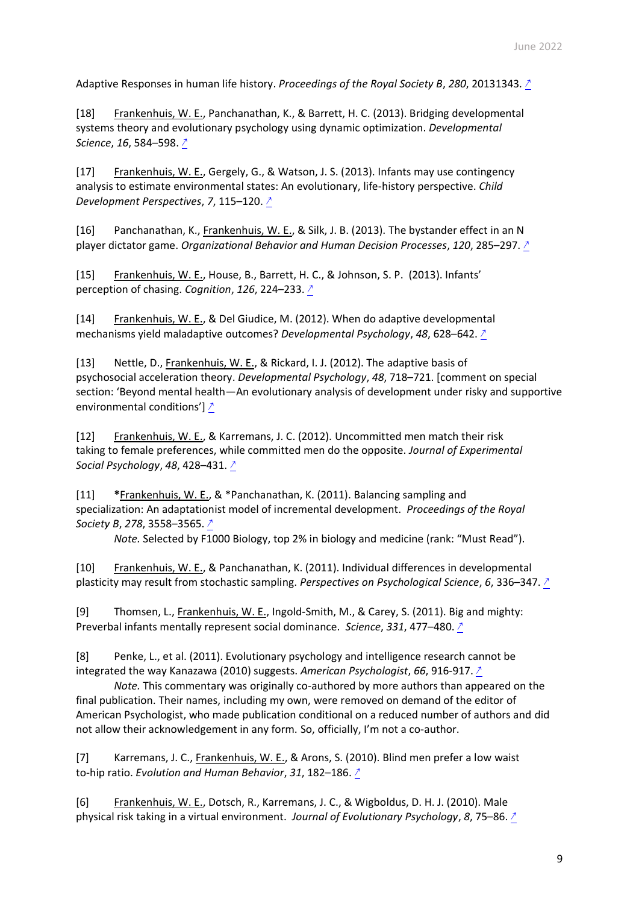Adaptive Responses in human life history. *Proceedings of the Royal Society B*, *280*, 20131343*.* [↗](https://doi.org/10.1098/rspb.2013.1343)

[18] Frankenhuis, W. E., Panchanathan, K., & Barrett, H. C. (2013). Bridging developmental systems theory and evolutionary psychology using dynamic optimization. *Developmental Science*, *16*, 584–598. [↗](https://doi.org/10.1111/desc.12053)

[17] Frankenhuis, W. E., Gergely, G., & Watson, J. S. (2013). Infants may use contingency analysis to estimate environmental states: An evolutionary, life-history perspective. *Child Development Perspectives*, *7*, 115–120. [↗](https://doi.org/10.1111/cdep.12024)

[16] Panchanathan, K., Frankenhuis, W. E., & Silk, J. B. (2013). The bystander effect in an N player dictator game. *Organizational Behavior and Human Decision Processes*, *120*, 285–297. [↗](https://doi.org/10.1016/j.obhdp.2012.06.008)

[15] Frankenhuis, W. E., House, B., Barrett, H. C., & Johnson, S. P. (2013). Infants' perception of chasing. *Cognition*, *126*, 224–233. [↗](https://doi.org/10.1016/j.cognition.2012.10.001)

[14] Frankenhuis, W. E., & Del Giudice, M. (2012). When do adaptive developmental mechanisms yield maladaptive outcomes? *Developmental Psychology*, *48*, 628–642. [↗](https://doi.org/10.1037/a0025629)

[13] Nettle, D., Frankenhuis, W. E., & Rickard, I. J. (2012). The adaptive basis of psychosocial acceleration theory. *Developmental Psychology*, *48*, 718–721. [comment on special section: 'Beyond mental health—An evolutionary analysis of development under risky and supportive environmental conditions'] [↗](https://doi.org/10.1037/a0027507)

[12] Frankenhuis, W. E., & Karremans, J. C. (2012). Uncommitted men match their risk taking to female preferences, while committed men do the opposite. *Journal of Experimental Social Psychology*, *48*, 428–431. [↗](https://doi.org/10.1016/j.jesp.2011.09.001)

[11] **\***Frankenhuis, W. E., & \*Panchanathan, K. (2011). Balancing sampling and specialization: An adaptationist model of incremental development. *Proceedings of the Royal Society B*, *278*, 3558–3565. [↗](https://doi.org/10.1098/rspb.2011.0055)

*Note.* Selected by F1000 Biology, top 2% in biology and medicine (rank: "Must Read").

[10] Frankenhuis, W. E., & Panchanathan, K. (2011). Individual differences in developmental plasticity may result from stochastic sampling. *Perspectives on Psychological Science*, *6*, 336–347. [↗](https://doi.org/10.1177/1745691611412602)

[9] Thomsen, L., Frankenhuis, W. E., Ingold-Smith, M., & Carey, S. (2011). Big and mighty: Preverbal infants mentally represent social dominance. *Science*, *331*, 477–480. [↗](https://doi.org/10.1126/science.1199198)

[8] Penke, L., et al. (2011). Evolutionary psychology and intelligence research cannot be integrated the way Kanazawa (2010) suggests. *American Psychologist*, *66*, 916-917. [↗](http://www.willem.maartenfrankenhuis.nl/wp-content/uploads/2016/09/2011.pdf)

*Note.* This commentary was originally co-authored by more authors than appeared on the final publication. Their names, including my own, were removed on demand of the editor of American Psychologist, who made publication conditional on a reduced number of authors and did not allow their acknowledgement in any form. So, officially, I'm not a co-author.

[7] Karremans, J. C., Frankenhuis, W. E., & Arons, S. (2010). Blind men prefer a low waist to-hip ratio. *Evolution and Human Behavior*, *31*, 182–186. [↗](https://doi.org/10.1016/j.evolhumbehav.2009.10.001)

[6] Frankenhuis, W. E., Dotsch, R., Karremans, J. C., & Wigboldus, D. H. J. (2010). Male physical risk taking in a virtual environment. *Journal of Evolutionary Psychology*, *8*, 75–86. [↗](https://doi.org/10.1556/jep.8.2010.1.6)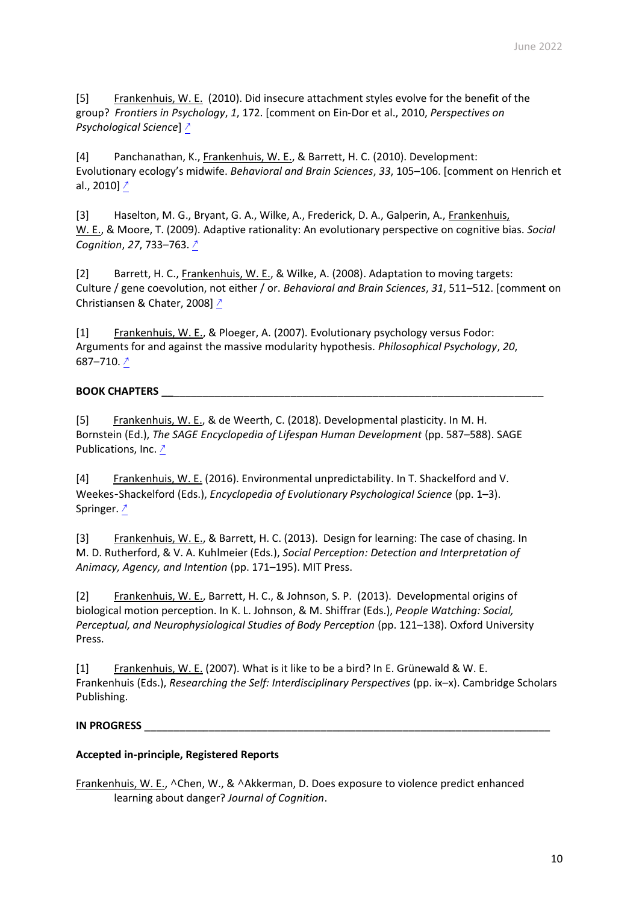[5] Frankenhuis, W. E. (2010). Did insecure attachment styles evolve for the benefit of the group? *Frontiers in Psychology*, *1*, 172. [comment on Ein-Dor et al., 2010, *Perspectives on Psychological Science*] [↗](https://doi.org/10.3389/fpsyg.2010.00172)

[4] Panchanathan, K., Frankenhuis, W. E., & Barrett, H. C. (2010). Development: Evolutionary ecology's midwife. *Behavioral and Brain Sciences*, *33*, 105–106. [comment on Henrich et al., 2010] [↗](https://doi.org/10.1017/S0140525X1000021X)

[3] Haselton, M. G., Bryant, G. A., Wilke, A., Frederick, D. A., Galperin, A., Frankenhuis, W. E., & Moore, T. (2009). Adaptive rationality: An evolutionary perspective on cognitive bias. *Social Cognition*, *27*, 733–763. [↗](https://doi.org/10.1521/soco.2009.27.5.733)

[2] Barrett, H. C., Frankenhuis, W. E., & Wilke, A. (2008). Adaptation to moving targets: Culture / gene coevolution, not either / or. *Behavioral and Brain Sciences*, *31*, 511–512. [comment on Christiansen & Chater, 2008] [↗](https://doi.org/10.1017/S0140525X08005013)

[1] Frankenhuis, W. E., & Ploeger, A. (2007). Evolutionary psychology versus Fodor: Arguments for and against the massive modularity hypothesis. *Philosophical Psychology*, *20*, 687–710. [↗](https://doi.org/10.1080/09515080701665904)

## **BOOK CHAPTERS \_\_**\_\_\_\_\_\_\_\_\_\_\_\_\_\_\_\_\_\_\_\_\_\_\_\_\_\_\_\_\_\_\_\_\_\_\_\_\_\_\_\_\_\_\_\_\_\_\_\_\_\_\_\_\_\_\_\_\_\_\_\_\_\_\_

[5] Frankenhuis, W. E., & de Weerth, C. (2018). Developmental plasticity. In M. H. Bornstein (Ed.), *The SAGE Encyclopedia of Lifespan Human Development* (pp. 587–588). SAGE Publications, Inc. [↗](https://doi.org/10.4135/9781506307633.n220)

[4] Frankenhuis, W. E. (2016). Environmental unpredictability. In T. Shackelford and V. Weekes‐Shackelford (Eds.), *Encyclopedia of Evolutionary Psychological Science* (pp. 1–3). Springer. [↗](https://doi.org/10.1007/978-3-319-16999-6_1920-1)

[3] Frankenhuis, W. E., & Barrett, H. C. (2013). Design for learning: The case of chasing. In M. D. Rutherford, & V. A. Kuhlmeier (Eds.), *Social Perception: Detection and Interpretation of Animacy, Agency, and Intention* (pp. 171–195). MIT Press.

[2] Frankenhuis, W. E., Barrett, H. C., & Johnson, S. P. (2013). Developmental origins of biological motion perception. In K. L. Johnson, & M. Shiffrar (Eds.), *People Watching: Social, Perceptual, and Neurophysiological Studies of Body Perception* (pp. 121–138). Oxford University Press.

[1] Frankenhuis, W. E. (2007). What is it like to be a bird? In E. Grünewald & W. E. Frankenhuis (Eds.), *Researching the Self: Interdisciplinary Perspectives* (pp. ix–x). Cambridge Scholars Publishing.

## **IN PROGRESS** \_\_\_\_\_\_\_\_\_\_\_\_\_\_\_\_\_\_\_\_\_\_\_\_\_\_\_\_\_\_\_\_\_\_\_\_\_\_\_\_\_\_\_\_\_\_\_\_\_\_\_\_\_\_\_\_\_\_\_\_\_\_\_\_\_\_\_\_\_

## **Accepted in-principle, Registered Reports**

Frankenhuis, W. E., **^**Chen, W., & **^**Akkerman, D. Does exposure to violence predict enhanced learning about danger? *Journal of Cognition*.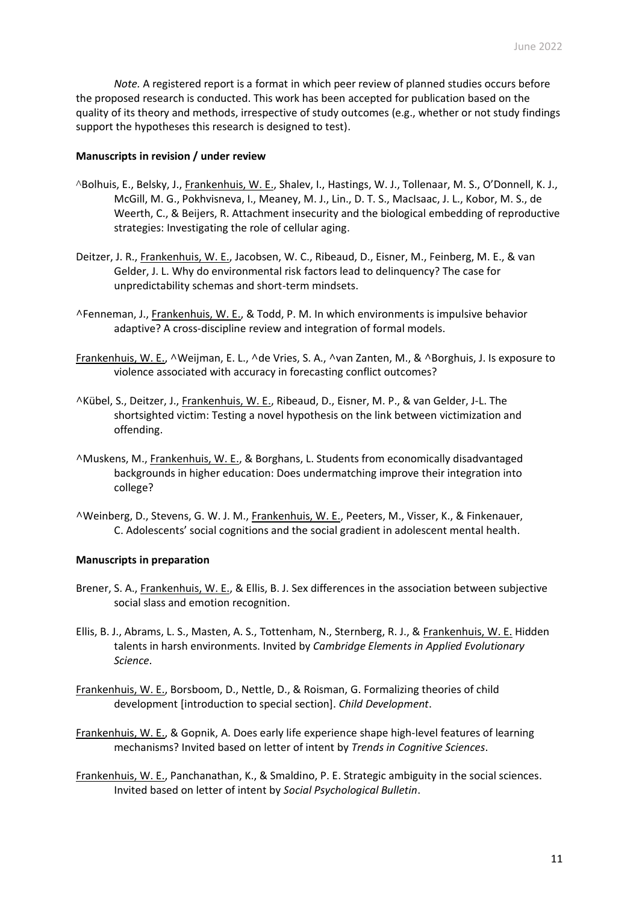*Note.* A registered report is a format in which peer review of planned studies occurs before the proposed research is conducted. This work has been accepted for publication based on the quality of its theory and methods, irrespective of study outcomes (e.g., whether or not study findings support the hypotheses this research is designed to test).

### **Manuscripts in revision / under review**

- ^Bolhuis, E., Belsky, J., Frankenhuis, W. E., Shalev, I., Hastings, W. J., Tollenaar, M. S., O'Donnell, K. J., McGill, M. G., Pokhvisneva, I., Meaney, M. J., Lin., D. T. S., MacIsaac, J. L., Kobor, M. S., de Weerth, C., & Beijers, R. Attachment insecurity and the biological embedding of reproductive strategies: Investigating the role of cellular aging.
- Deitzer, J. R., Frankenhuis, W. E., Jacobsen, W. C., Ribeaud, D., Eisner, M., Feinberg, M. E., & van Gelder, J. L. Why do environmental risk factors lead to delinquency? The case for unpredictability schemas and short-term mindsets.
- **^**Fenneman, J., Frankenhuis, W. E., & Todd, P. M. In which environments is impulsive behavior adaptive? A cross-discipline review and integration of formal models.
- Frankenhuis, W. E., **^**Weijman, E. L., **^**de Vries, S. A., **^**van Zanten, M., & **^**Borghuis, J. Is exposure to violence associated with accuracy in forecasting conflict outcomes?
- **^**Kübel, S., Deitzer, J., Frankenhuis, W. E., Ribeaud, D., Eisner, M. P., & van Gelder, J-L. The shortsighted victim: Testing a novel hypothesis on the link between victimization and offending.
- **^**Muskens, M., Frankenhuis, W. E., & Borghans, L. Students from economically disadvantaged backgrounds in higher education: Does undermatching improve their integration into college?
- **^**Weinberg, D., Stevens, G. W. J. M., Frankenhuis, W. E., Peeters, M., Visser, K., & Finkenauer, C. Adolescents' social cognitions and the social gradient in adolescent mental health.

### **Manuscripts in preparation**

- Brener, S. A., Frankenhuis, W. E., & Ellis, B. J. Sex differences in the association between subjective social slass and emotion recognition.
- Ellis, B. J., Abrams, L. S., Masten, A. S., Tottenham, N., Sternberg, R. J., & Frankenhuis, W. E. Hidden talents in harsh environments. Invited by *Cambridge Elements in Applied Evolutionary Science*.
- Frankenhuis, W. E., Borsboom, D., Nettle, D., & Roisman, G. Formalizing theories of child development [introduction to special section]. *Child Development*.
- Frankenhuis, W. E., & Gopnik, A. Does early life experience shape high-level features of learning mechanisms? Invited based on letter of intent by *Trends in Cognitive Sciences*.
- Frankenhuis, W. E., Panchanathan, K., & Smaldino, P. E. Strategic ambiguity in the social sciences. Invited based on letter of intent by *Social Psychological Bulletin*.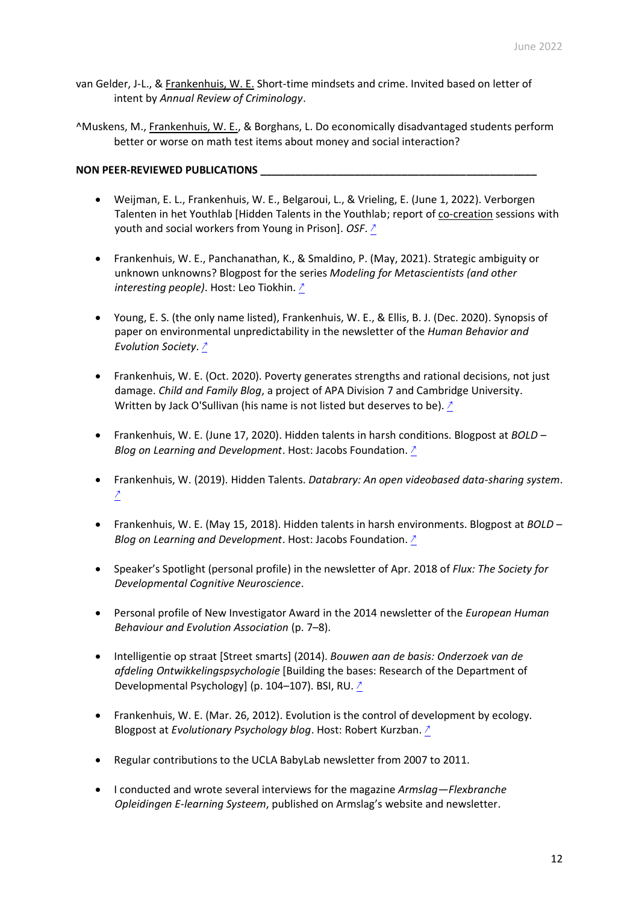van Gelder, J-L., & Frankenhuis, W. E. Short-time mindsets and crime. Invited based on letter of intent by *Annual Review of Criminology*.

^Muskens, M., Frankenhuis, W. E., & Borghans, L. Do economically disadvantaged students perform better or worse on math test items about money and social interaction?

## **NON PEER-REVIEWED PUBLICATIONS \_\_\_\_\_\_\_\_\_\_\_\_\_\_\_\_\_\_\_\_\_\_\_\_\_\_\_\_\_\_\_\_\_\_\_\_\_\_\_\_\_\_\_\_\_\_\_**

- Weijman, E. L., Frankenhuis, W. E., Belgaroui, L., & Vrieling, E. (June 1, 2022). Verborgen Talenten in het Youthlab [Hidden Talents in the Youthlab; report of co-creation sessions with youth and social workers from Young in Prison]. *OSF*. [↗](https://doi.org/10.17605/OSF.IO/G2ZPR)
- Frankenhuis, W. E., Panchanathan, K., & Smaldino, P. (May, 2021). Strategic ambiguity or unknown unknowns? Blogpost for the series *Modeling for Metascientists (and other interesting people)*. Host: Leo Tiokhin. [↗](https://leonidtiokhin.medium.com/strategic-ambiguity-or-unknown-unknowns-fe1596e887f3)
- Young, E. S. (the only name listed), Frankenhuis, W. E., & Ellis, B. J. (Dec. 2020). Synopsis of paper on environmental unpredictability in the newsletter of the *Human Behavior and Evolution Society*. [↗](https://www.hbes.com/unpredictability-2-0/)
- Frankenhuis, W. E. (Oct. 2020). Poverty generates strengths and rational decisions, not just damage. *Child and Family Blog*, a project of APA Division 7 and Cambridge University. Written by Jack O'Sullivan (his name is not listed but deserves to be). [↗](https://childandfamilyblog.com/disadvantage-backgrounds-can-produce-strengths/)
- Frankenhuis, W. E. (June 17, 2020). Hidden talents in harsh conditions. Blogpost at *BOLD – Blog on Learning and Development*. Host: Jacobs Foundation. [↗](https://bold.expert/hidden-talents-in-harsh-conditions/)
- Frankenhuis, W. (2019). Hidden Talents. *Databrary: An open videobased data-sharing system*.  $\mathbb{Z}$
- Frankenhuis, W. E. (May 15, 2018). Hidden talents in harsh environments. Blogpost at *BOLD – Blog on Learning and Development*. Host: Jacobs Foundation. [↗](https://bold.expert/hidden-talents-in-harsh-environments/)
- Speaker's Spotlight (personal profile) in the newsletter of Apr. 2018 of *Flux: The Society for Developmental Cognitive Neuroscience*.
- Personal profile of New Investigator Award in the 2014 newsletter of the *European Human Behaviour and Evolution Association* (p. 7–8).
- Intelligentie op straat [Street smarts] (2014). *Bouwen aan de basis: Onderzoek van de afdeling Ontwikkelingspsychologie* [Building the bases: Research of the Department of Developmental Psychology] (p. 104–107). BSI, RU. 2
- Frankenhuis, W. E. (Mar. 26, 2012). Evolution is the control of development by ecology. Blogpost at *Evolutionary Psychology blog*. Host: Robert Kurzban. [↗](http://web.sas.upenn.edu/kurzbanepblog/2012/03/26/guest-post-evolution-is-the-control-of-development-by-ecology/)
- Regular contributions to the UCLA BabyLab newsletter from 2007 to 2011.
- I conducted and wrote several interviews for the magazine *Armslag—Flexbranche Opleidingen E-learning Systeem*, published on Armslag's website and newsletter.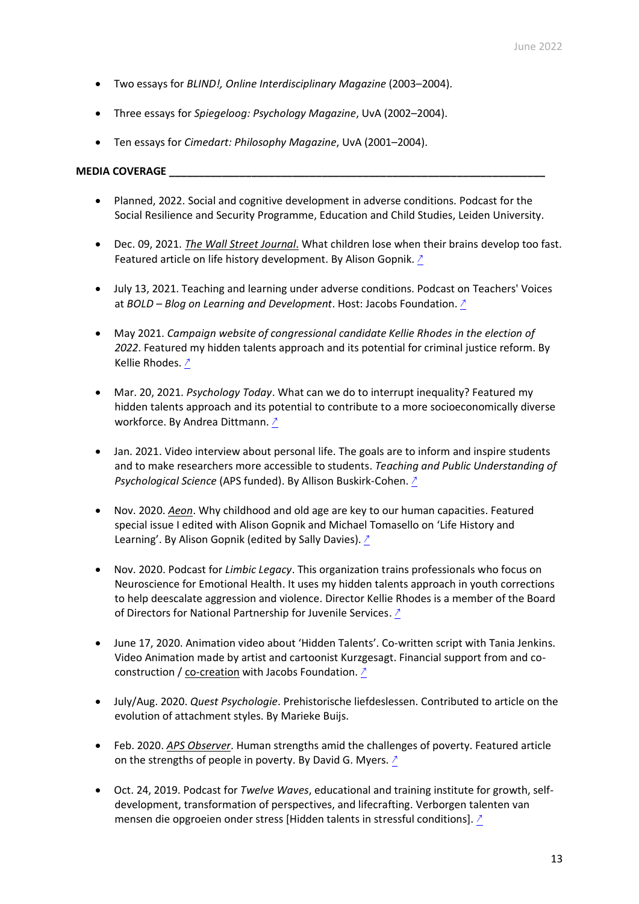- Two essays for *BLIND!, Online Interdisciplinary Magazine* (2003–2004).
- Three essays for *Spiegeloog: Psychology Magazine*, UvA (2002–2004).
- Ten essays for *Cimedart: Philosophy Magazine*, UvA (2001–2004).

## **MEDIA COVERAGE \_\_\_\_\_\_\_\_\_\_\_\_\_\_\_\_\_\_\_\_\_\_\_\_\_\_\_\_\_\_\_\_\_\_\_\_\_\_\_\_\_\_\_\_\_\_\_\_\_\_\_\_\_\_\_\_\_\_\_\_\_\_\_\_**

- Planned, 2022. Social and cognitive development in adverse conditions. Podcast for the Social Resilience and Security Programme, Education and Child Studies, Leiden University.
- Dec. 09, 2021. *The Wall Street Journal*. What children lose when their brains develop too fast. Featured article on life history development. By Alison Gopnik. [↗](https://www.wsj.com/articles/what-children-lose-when-their-brains-develop-too-fast-11639071752)
- July 13, 2021. Teaching and learning under adverse conditions. Podcast on Teachers' Voices at *BOLD – Blog on Learning and Development*. Host: Jacobs Foundation. [↗](https://bold.expert/teaching-and-learning-under-adverse-conditions/)
- May 2021. *Campaign website of congressional candidate Kellie Rhodes in the election of 2022*. Featured my hidden talents approach and its potential for criminal justice reform. By Kellie Rhodes. [↗](https://rhodestocongress.com/policy/transformational-criminal-justice-reform)
- Mar. 20, 2021. *Psychology Today*. What can we do to interrupt inequality? Featured my hidden talents approach and its potential to contribute to a more socioeconomically diverse workforce. By Andrea Dittmann. [↗](https://www.psychologytoday.com/us/blog/inequality-interrupted/202103/what-can-we-do-interrupt-inequality)
- Jan. 2021. Video interview about personal life. The goals are to inform and inspire students and to make researchers more accessible to students. *Teaching and Public Understanding of Psychological Science* (APS funded). By Allison Buskirk-Cohen. [↗](https://www.making-research-personal.info/dr-willem-frankenhuis)
- Nov. 2020. *Aeon*. Why childhood and old age are key to our human capacities. Featured special issue I edited with Alison Gopnik and Michael Tomasello on 'Life History and Learning'. By Alison Gopnik (edited by Sally Davies). [↗](https://aeon.co/essays/why-childhood-and-old-age-are-key-to-our-human-capacities)
- Nov. 2020. Podcast for *Limbic Legacy*. This organization trains professionals who focus on Neuroscience for Emotional Health. It uses my hidden talents approach in youth corrections to help deescalate aggression and violence. Director Kellie Rhodes is a member of the Board of Directors for National Partnership for Juvenile Services. [↗](https://instituteoflimbichealth.org/spitfires-and-hotshots/specialized-the-unique-strengths-of-stress-adapted-youth-with-willem-frankenhuis)
- June 17, 2020. Animation video about 'Hidden Talents'. Co-written script with Tania Jenkins. Video Animation made by artist and cartoonist Kurzgesagt. Financial support from and coconstruction / co-creation with Jacobs Foundation. [↗](https://bold.expert/hidden-talents-in-harsh-conditions/)
- July/Aug. 2020. *Quest Psychologie*. Prehistorische liefdeslessen. Contributed to article on the evolution of attachment styles. By Marieke Buijs.
- Feb. 2020. *APS Observer*. Human strengths amid the challenges of poverty. Featured article on the strengths of people in poverty. By David G. Myers. ∕
- Oct. 24, 2019. Podcast for *Twelve Waves*, educational and training institute for growth, selfdevelopment, transformation of perspectives, and lifecrafting. Verborgen talenten van mensen die opgroeien onder stress [Hidden talents in stressful conditions]. [↗](https://www.youtube.com/watch?v=Lm_pGQoZrnw)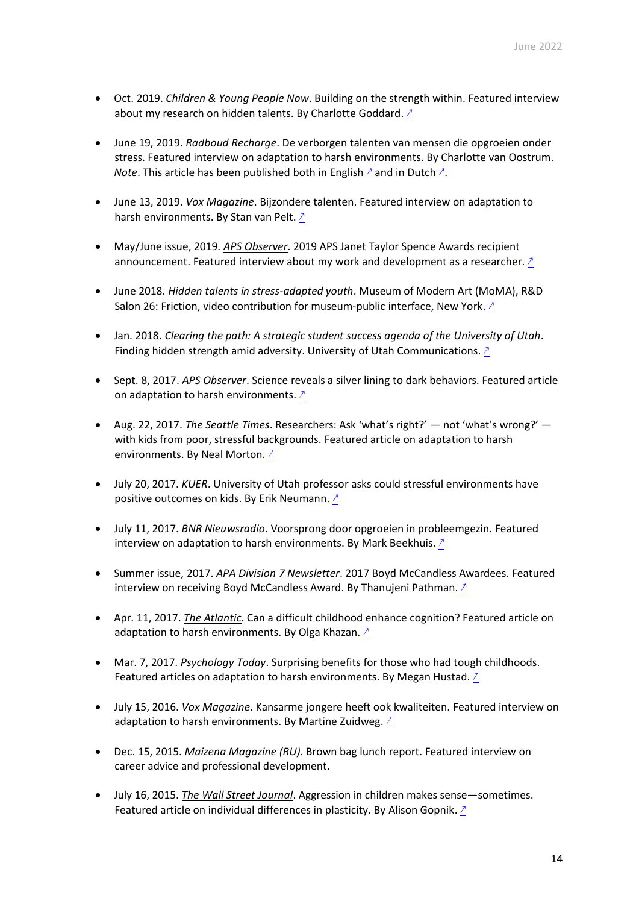- Oct. 2019. *Children & Young People Now*. Building on the strength within. Featured interview about my research on hidden talents. By Charlotte Goddard. [↗](https://www.cypnow.co.uk/features/article/adverse-childhood-experiences-building-on-the-strength-within)
- June 19, 2019. *Radboud Recharge*. De verborgen talenten van mensen die opgroeien onder stress. Featured interview on adaptation to harsh environments. By Charlotte van Oostrum. *Note*. This article has been published both in English  $_2$  and in Dutch  $_2$ .
- June 13, 2019. *Vox Magazine*. Bijzondere talenten. Featured interview on adaptation to harsh environments. By Stan van Pelt. 2
- May/June issue, 2019. *APS Observer*. 2019 APS Janet Taylor Spence Awards recipient announcement. Featured interview about my work and development as a researcher. [↗](https://www.psychologicalscience.org/observer/2019-spence-awards#Willem-Frankenhuis)
- June 2018. *Hidden talents in stress-adapted youth*. Museum of Modern Art (MoMA), R&D Salon 26: Friction, video contribution for museum-public interface, New York. [↗](http://momarnd.moma.org/salons/salon-26-friction-2/)
- Jan. 2018. *Clearing the path: A strategic student success agenda of the University of Utah*. Finding hidden strength amid adversity. University of Utah Communications. [↗](https://academic-affairs.utah.edu/wp-content/uploads/sites/3/2018/01/Clearing-the-Path.pdf)
- Sept. 8, 2017. *APS Observer*. Science reveals a silver lining to dark behaviors. Featured article on adaptation to harsh environments. [↗](https://www.psychologicalscience.org/publications/observer/obsonline/science-reveals-silver-lining-to-dark-behaviors.html)
- Aug. 22, 2017. *The Seattle Times*. Researchers: Ask 'what's right?' not 'what's wrong?' with kids from poor, stressful backgrounds. Featured article on adaptation to harsh environments. By Neal Morton. [↗](https://www.seattletimes.com/education-lab/researchers-ask-whats-right-not-whats-wrong-with-kids-from-poor-stressful-backgrounds/)
- July 20, 2017. *KUER*. University of Utah professor asks could stressful environments have positive outcomes on kids. By Erik Neumann. 2
- July 11, 2017. *BNR Nieuwsradio*. Voorsprong door opgroeien in probleemgezin. Featured interview on adaptation to harsh environments. By Mark Beekhuis. [↗](https://www.bnr.nl/radio/wetenschap-vandaag/10326307/voorsprong-door-opgroeien-in-probleemgezin)
- Summer issue, 2017. *APA Division 7 Newsletter*. 2017 Boyd McCandless Awardees. Featured interview on receiving Boyd McCandless Award. By Thanujeni Pathman. [↗](https://www.apadivisions.org/division-7/publications/newsletters/developmental/2017/07/advice-to-students)
- Apr. 11, 2017. *The Atlantic*. Can a difficult childhood enhance cognition? Featured article on adaptation to harsh environments. By Olga Khazan. [↗](https://www.theatlantic.com/health/archive/2017/04/can-a-difficult-childhood-enhance-cognition/522627/)
- Mar. 7, 2017. *Psychology Today*. Surprising benefits for those who had tough childhoods. Featured articles on adaptation to harsh environments. By Megan Hustad. [↗](https://www.psychologytoday.com/intl/articles/201703/surprising-benefits-those-who-had-tough-childhoods)
- July 15, 2016. *Vox Magazine*. Kansarme jongere heeft ook kwaliteiten. Featured interview on adaptation to harsh environments. By Martine Zuidweg.  $\frac{1}{2}$
- Dec. 15, 2015. *Maizena Magazine (RU)*. Brown bag lunch report. Featured interview on career advice and professional development.
- July 16, 2015. *The Wall Street Journal*. Aggression in children makes sense—sometimes. Featured article on individual differences in plasticity. By Alison Gopnik. [↗](https://www.wsj.com/articles/aggression-in-children-makes-sensesometimes-1437060048)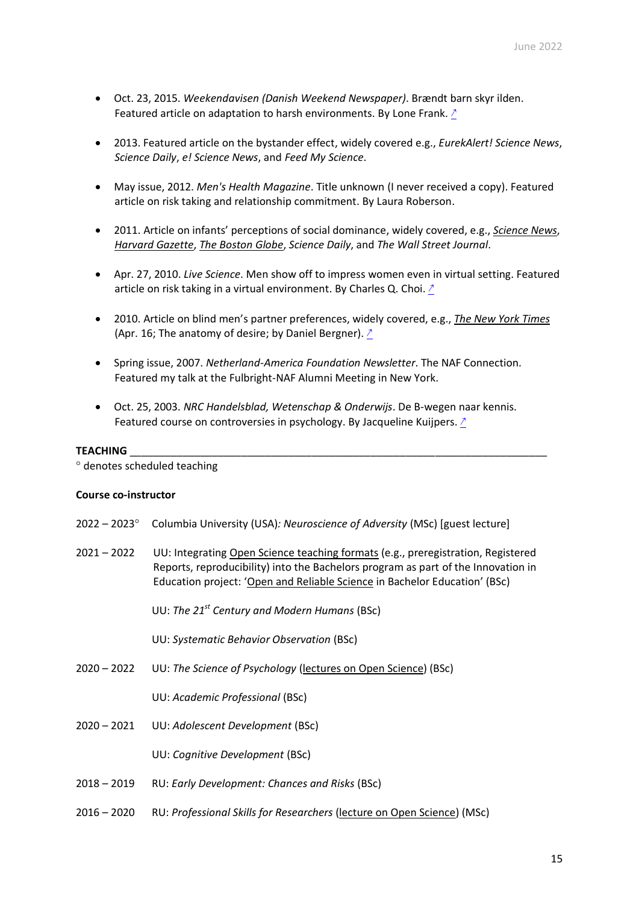- Oct. 23, 2015. *Weekendavisen (Danish Weekend Newspaper)*. Brændt barn skyr ilden. Featured article on adaptation to harsh environments. By Lone Frank. [↗](https://morgenbladet.no/aktuelt/2015/10/brent-barn-skyr-ilden)
- 2013. Featured article on the bystander effect, widely covered e.g., *EurekAlert! Science News*, *Science Daily*, *e! Science News*, and *Feed My Science*.
- May issue, 2012. *Men's Health Magazine*. Title unknown (I never received a copy). Featured article on risk taking and relationship commitment. By Laura Roberson.
- 2011. Article on infants' perceptions of social dominance, widely covered, e.g., *Science News*, *Harvard Gazette*, *The Boston Globe*, *Science Daily*, and *The Wall Street Journal*.
- Apr. 27, 2010. *Live Science*. Men show off to impress women even in virtual setting. Featured article on risk taking in a virtual environment. By Charles Q. Choi. [↗](https://www.livescience.com/6351-men-show-impress-women-virtual-setting.html)
- 2010. Article on blind men's partner preferences, widely covered, e.g., *The New York Times* (Apr. 16; The anatomy of desire; by Daniel Bergner).  $\triangle$
- Spring issue, 2007. *Netherland-America Foundation Newsletter*. The NAF Connection. Featured my talk at the Fulbright-NAF Alumni Meeting in New York.
- Oct. 25, 2003. *NRC Handelsblad, Wetenschap & Onderwijs*. De B-wegen naar kennis. Featured course on controversies in psychology. By Jacqueline Kuijpers. [↗](https://www.nrc.nl/nieuws/2003/10/25/de-b-wegen-naar-kennis-7659484-a996519)

#### **TEACHING** \_\_\_\_\_\_\_\_\_\_\_\_\_\_\_\_\_\_\_\_\_\_\_\_\_\_\_\_\_\_\_\_\_\_\_\_\_\_\_\_\_\_\_\_\_\_\_\_\_\_\_\_\_\_\_\_\_\_\_\_\_\_\_\_\_\_\_\_\_\_\_

denotes scheduled teaching

### **Course co-instructor**

| $2022 - 2023^{\circ}$ | Columbia University (USA): Neuroscience of Adversity (MSc) [guest lecture]                                                                                                                                                                          |  |
|-----------------------|-----------------------------------------------------------------------------------------------------------------------------------------------------------------------------------------------------------------------------------------------------|--|
| $2021 - 2022$         | UU: Integrating Open Science teaching formats (e.g., preregistration, Registered<br>Reports, reproducibility) into the Bachelors program as part of the Innovation in<br>Education project: 'Open and Reliable Science in Bachelor Education' (BSc) |  |
|                       | UU: The $21^{st}$ Century and Modern Humans (BSc)                                                                                                                                                                                                   |  |
|                       | UU: Systematic Behavior Observation (BSc)                                                                                                                                                                                                           |  |
| $2020 - 2022$         | UU: The Science of Psychology (lectures on Open Science) (BSc)                                                                                                                                                                                      |  |
|                       | UU: Academic Professional (BSc)                                                                                                                                                                                                                     |  |
| $2020 - 2021$         | UU: Adolescent Development (BSc)                                                                                                                                                                                                                    |  |
|                       | UU: Cognitive Development (BSc)                                                                                                                                                                                                                     |  |
| $2018 - 2019$         | RU: Early Development: Chances and Risks (BSc)                                                                                                                                                                                                      |  |
| $2016 - 2020$         | RU: Professional Skills for Researchers (lecture on Open Science) (MSc)                                                                                                                                                                             |  |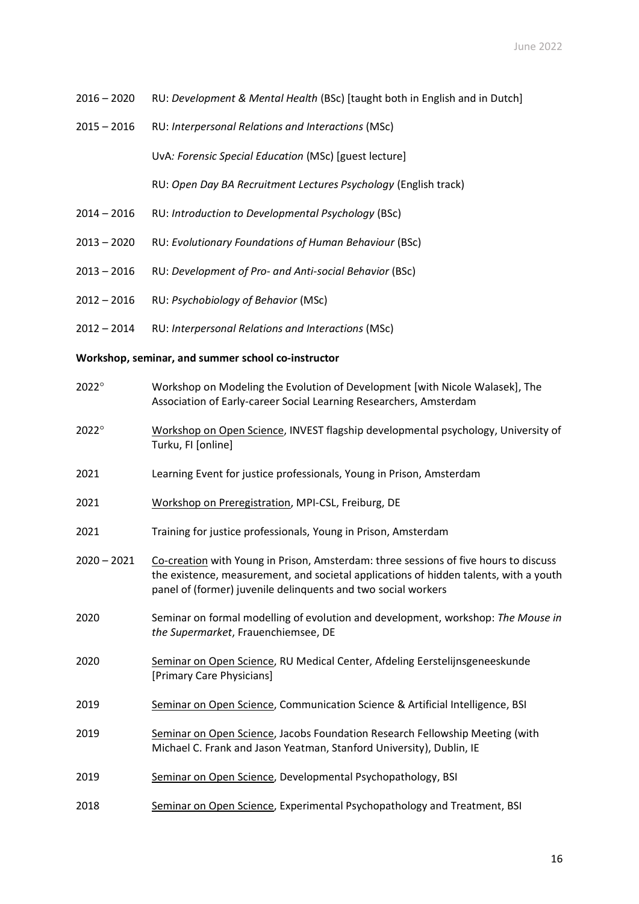- 2016 2020 RU: *Development & Mental Health* (BSc) [taught both in English and in Dutch]
- 2015 2016 RU: *Interpersonal Relations and Interactions* (MSc)

UvA*: Forensic Special Education* (MSc) [guest lecture]

RU: *Open Day BA Recruitment Lectures Psychology* (English track)

- 2014 2016 RU: *Introduction to Developmental Psychology* (BSc)
- 2013 2020 RU: *Evolutionary Foundations of Human Behaviour* (BSc)
- 2013 2016 RU: *Development of Pro- and Anti-social Behavior* (BSc)
- 2012 2016 RU: *Psychobiology of Behavior* (MSc)
- 2012 2014 RU: *Interpersonal Relations and Interactions* (MSc)

**Workshop, seminar, and summer school co-instructor**

- 2022<sup>°</sup> Workshop on Modeling the Evolution of Development [with Nicole Walasek], The Association of Early-career Social Learning Researchers, Amsterdam
- 2022 Workshop on Open Science, INVEST flagship developmental psychology, University of Turku, FI [online]
- 2021 Learning Event for justice professionals, Young in Prison, Amsterdam
- 2021 Workshop on Preregistration, MPI-CSL, Freiburg, DE
- 2021 Training for justice professionals, Young in Prison, Amsterdam
- 2020 2021 Co-creation with Young in Prison, Amsterdam: three sessions of five hours to discuss the existence, measurement, and societal applications of hidden talents, with a youth panel of (former) juvenile delinquents and two social workers
- 2020 Seminar on formal modelling of evolution and development, workshop: *The Mouse in the Supermarket*, Frauenchiemsee, DE
- 2020 Seminar on Open Science, RU Medical Center, Afdeling Eerstelijnsgeneeskunde [Primary Care Physicians]
- 2019 Seminar on Open Science, Communication Science & Artificial Intelligence, BSI
- 2019 Seminar on Open Science, Jacobs Foundation Research Fellowship Meeting (with Michael C. Frank and Jason Yeatman, Stanford University), Dublin, IE
- 2019 Seminar on Open Science, Developmental Psychopathology, BSI
- 2018 Seminar on Open Science, Experimental Psychopathology and Treatment, BSI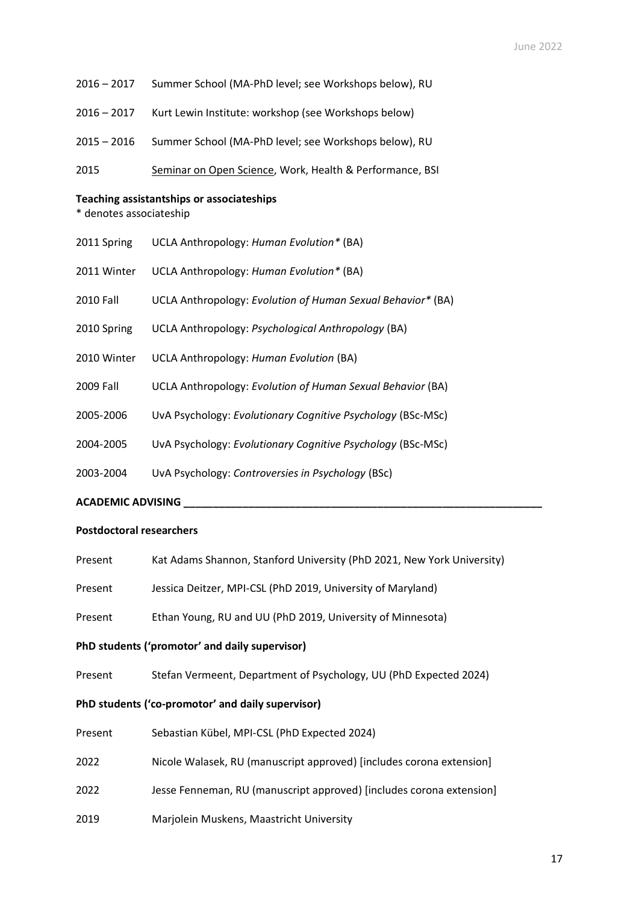- 2016 2017 Summer School (MA-PhD level; see Workshops below), RU
- 2016 2017 Kurt Lewin Institute: workshop (see Workshops below)
- 2015 2016 Summer School (MA-PhD level; see Workshops below), RU
- 2015 Seminar on Open Science, Work, Health & Performance, BSI

#### **Teaching assistantships or associateships**

\* denotes associateship

- 2011 Spring UCLA Anthropology: *Human Evolution\** (BA)
- 2011 Winter UCLA Anthropology: *Human Evolution\** (BA)
- 2010 Fall UCLA Anthropology: *Evolution of Human Sexual Behavior\** (BA)
- 2010 Spring UCLA Anthropology: *Psychological Anthropology* (BA)
- 2010 Winter UCLA Anthropology: *Human Evolution* (BA)
- 2009 Fall UCLA Anthropology: *Evolution of Human Sexual Behavior* (BA)
- 2005-2006 UvA Psychology: *Evolutionary Cognitive Psychology* (BSc-MSc)
- 2004-2005 UvA Psychology: *Evolutionary Cognitive Psychology* (BSc-MSc)
- 2003-2004 UvA Psychology: *Controversies in Psychology* (BSc)

**ACADEMIC ADVISING \_\_\_\_\_\_\_\_\_\_\_\_\_\_\_\_\_\_\_\_\_\_\_\_\_\_\_\_\_\_\_\_\_\_\_\_\_\_\_\_\_\_\_\_\_\_\_\_\_\_\_\_\_\_\_\_\_\_\_\_\_**

### **Postdoctoral researchers**

| Present                                           | Kat Adams Shannon, Stanford University (PhD 2021, New York University) |  |
|---------------------------------------------------|------------------------------------------------------------------------|--|
| Present                                           | Jessica Deitzer, MPI-CSL (PhD 2019, University of Maryland)            |  |
| Present                                           | Ethan Young, RU and UU (PhD 2019, University of Minnesota)             |  |
| PhD students ('promotor' and daily supervisor)    |                                                                        |  |
| Present                                           | Stefan Vermeent, Department of Psychology, UU (PhD Expected 2024)      |  |
| PhD students ('co-promotor' and daily supervisor) |                                                                        |  |
| Present                                           | Sebastian Kübel, MPI-CSL (PhD Expected 2024)                           |  |
| 2022                                              | Nicole Walasek, RU (manuscript approved) [includes corona extension]   |  |
| 2022                                              | Jesse Fenneman, RU (manuscript approved) [includes corona extension]   |  |
| 2019                                              | Marjolein Muskens, Maastricht University                               |  |
|                                                   |                                                                        |  |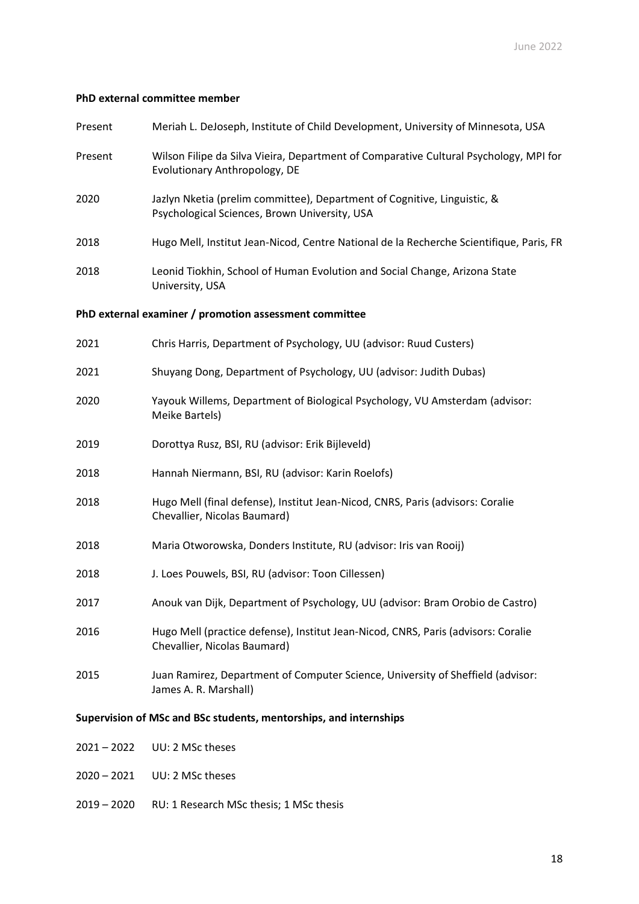## **PhD external committee member**

| Present                                                           | Meriah L. DeJoseph, Institute of Child Development, University of Minnesota, USA                                          |  |
|-------------------------------------------------------------------|---------------------------------------------------------------------------------------------------------------------------|--|
| Present                                                           | Wilson Filipe da Silva Vieira, Department of Comparative Cultural Psychology, MPI for<br>Evolutionary Anthropology, DE    |  |
| 2020                                                              | Jazlyn Nketia (prelim committee), Department of Cognitive, Linguistic, &<br>Psychological Sciences, Brown University, USA |  |
| 2018                                                              | Hugo Mell, Institut Jean-Nicod, Centre National de la Recherche Scientifique, Paris, FR                                   |  |
| 2018                                                              | Leonid Tiokhin, School of Human Evolution and Social Change, Arizona State<br>University, USA                             |  |
|                                                                   | PhD external examiner / promotion assessment committee                                                                    |  |
| 2021                                                              | Chris Harris, Department of Psychology, UU (advisor: Ruud Custers)                                                        |  |
| 2021                                                              | Shuyang Dong, Department of Psychology, UU (advisor: Judith Dubas)                                                        |  |
| 2020                                                              | Yayouk Willems, Department of Biological Psychology, VU Amsterdam (advisor:<br>Meike Bartels)                             |  |
| 2019                                                              | Dorottya Rusz, BSI, RU (advisor: Erik Bijleveld)                                                                          |  |
| 2018                                                              | Hannah Niermann, BSI, RU (advisor: Karin Roelofs)                                                                         |  |
| 2018                                                              | Hugo Mell (final defense), Institut Jean-Nicod, CNRS, Paris (advisors: Coralie<br>Chevallier, Nicolas Baumard)            |  |
| 2018                                                              | Maria Otworowska, Donders Institute, RU (advisor: Iris van Rooij)                                                         |  |
| 2018                                                              | J. Loes Pouwels, BSI, RU (advisor: Toon Cillessen)                                                                        |  |
| 2017                                                              | Anouk van Dijk, Department of Psychology, UU (advisor: Bram Orobio de Castro)                                             |  |
| 2016                                                              | Hugo Mell (practice defense), Institut Jean-Nicod, CNRS, Paris (advisors: Coralie<br>Chevallier, Nicolas Baumard)         |  |
| 2015                                                              | Juan Ramirez, Department of Computer Science, University of Sheffield (advisor:<br>James A. R. Marshall)                  |  |
| Supervision of MSc and BSc students, mentorships, and internships |                                                                                                                           |  |
| $2021 - 2022$                                                     | UU: 2 MSc theses                                                                                                          |  |

- 
- 2020 2021 UU: 2 MSc theses
- 2019 2020 RU: 1 Research MSc thesis; 1 MSc thesis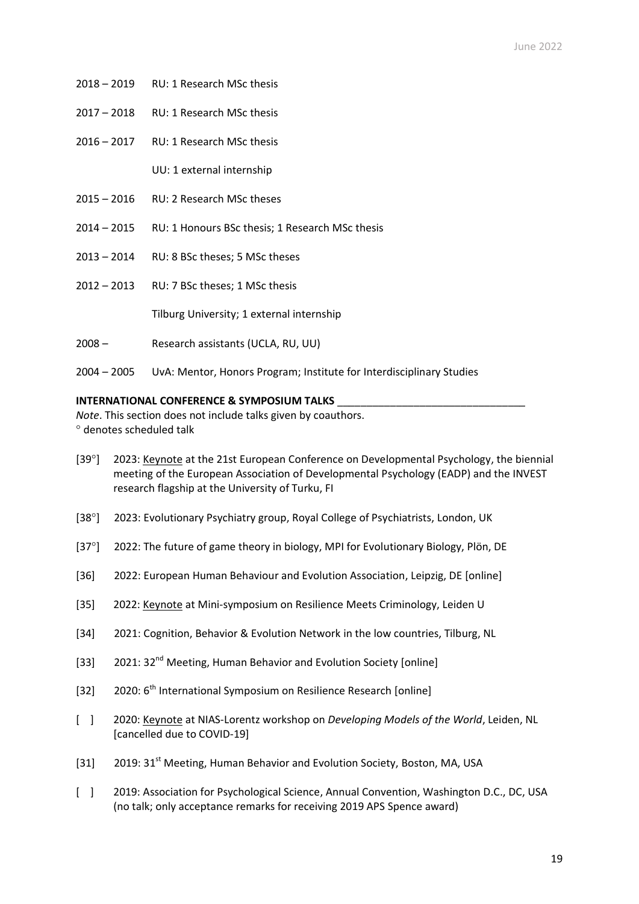- 2018 2019 RU: 1 Research MSc thesis
- 2017 2018 RU: 1 Research MSc thesis
- 2016 2017 RU: 1 Research MSc thesis

UU: 1 external internship

- 2015 2016 RU: 2 Research MSc theses
- 2014 2015 RU: 1 Honours BSc thesis; 1 Research MSc thesis
- 2013 2014 RU: 8 BSc theses; 5 MSc theses
- 2012 2013 RU: 7 BSc theses; 1 MSc thesis

Tilburg University; 1 external internship

- 2008 Research assistants (UCLA, RU, UU)
- 2004 2005 UvA: Mentor, Honors Program; Institute for Interdisciplinary Studies

### **INTERNATIONAL CONFERENCE & SYMPOSIUM TALKS** \_\_\_\_\_\_\_\_\_\_\_\_\_\_\_\_\_\_\_\_\_\_\_\_\_\_\_\_\_\_\_\_

*Note*. This section does not include talks given by coauthors. denotes scheduled talk

- [39°] 2023: Keynote at the 21st European Conference on Developmental Psychology, the biennial meeting of the European Association of Developmental Psychology (EADP) and the INVEST research flagship at the University of Turku, FI
- [38°] 2023: Evolutionary Psychiatry group, Royal College of Psychiatrists, London, UK
- [37°] 2022: The future of game theory in biology, MPI for Evolutionary Biology, Plön, DE
- [36] 2022: European Human Behaviour and Evolution Association, Leipzig, DE [online]
- [35] 2022: Keynote at Mini-symposium on Resilience Meets Criminology, Leiden U
- [34] 2021: Cognition, Behavior & Evolution Network in the low countries, Tilburg, NL
- [33] 2021: 32<sup>nd</sup> Meeting, Human Behavior and Evolution Society [online]
- [32] 2020: 6<sup>th</sup> International Symposium on Resilience Research [online]
- [ ] 2020: Keynote at NIAS-Lorentz workshop on *Developing Models of the World*, Leiden, NL [cancelled due to COVID-19]
- [31] 2019: 31<sup>st</sup> Meeting, Human Behavior and Evolution Society, Boston, MA, USA
- [ ] 2019: Association for Psychological Science, Annual Convention, Washington D.C., DC, USA (no talk; only acceptance remarks for receiving 2019 APS Spence award)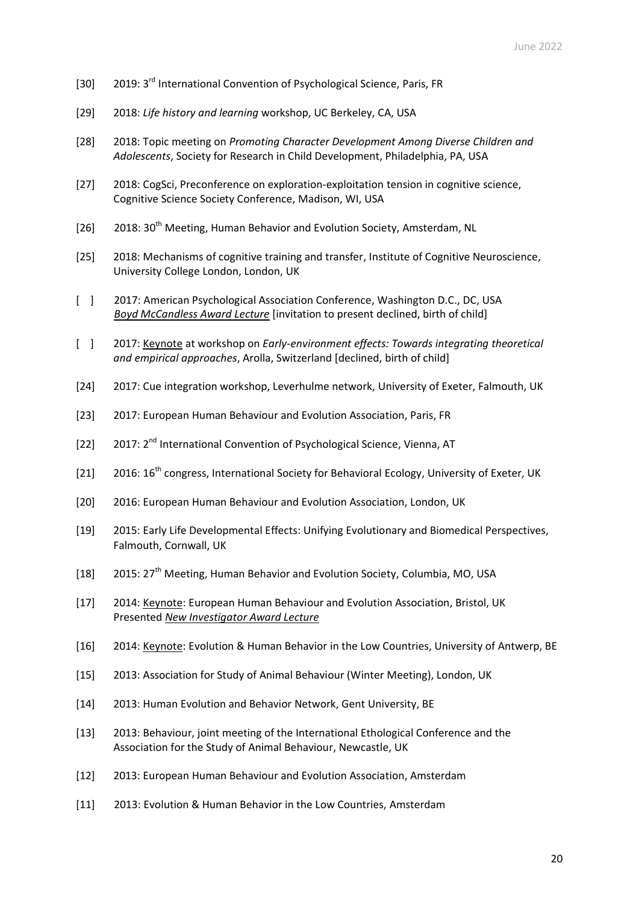- [30] 2019: 3<sup>rd</sup> International Convention of Psychological Science, Paris, FR
- [29] 2018: *Life history and learning* workshop, UC Berkeley, CA, USA
- [28] 2018: Topic meeting on *Promoting Character Development Among Diverse Children and Adolescents*, Society for Research in Child Development, Philadelphia, PA, USA
- [27] 2018: CogSci, Preconference on exploration-exploitation tension in cognitive science, Cognitive Science Society Conference, Madison, WI, USA
- [26] 2018: 30<sup>th</sup> Meeting, Human Behavior and Evolution Society, Amsterdam, NL
- [25] 2018: Mechanisms of cognitive training and transfer, Institute of Cognitive Neuroscience, University College London, London, UK
- [ ] 2017: American Psychological Association Conference, Washington D.C., DC, USA *Boyd McCandless Award Lecture* [invitation to present declined, birth of child]
- [ ] 2017: Keynote at workshop on *Early-environment effects: Towards integrating theoretical and empirical approaches*, Arolla, Switzerland [declined, birth of child]
- [24] 2017: Cue integration workshop, Leverhulme network, University of Exeter, Falmouth, UK
- [23] 2017: European Human Behaviour and Evolution Association, Paris, FR
- [22] 2017: 2<sup>nd</sup> International Convention of Psychological Science, Vienna, AT
- [21] 2016: 16<sup>th</sup> congress, International Society for Behavioral Ecology, University of Exeter, UK
- [20] 2016: European Human Behaviour and Evolution Association, London, UK
- [19] 2015: Early Life Developmental Effects: Unifying Evolutionary and Biomedical Perspectives, Falmouth, Cornwall, UK
- [18] 2015: 27<sup>th</sup> Meeting, Human Behavior and Evolution Society, Columbia, MO, USA
- [17] 2014: Keynote: European Human Behaviour and Evolution Association, Bristol, UK Presented *New Investigator Award Lecture*
- [16] 2014: Keynote: Evolution & Human Behavior in the Low Countries, University of Antwerp, BE
- [15] 2013: Association for Study of Animal Behaviour (Winter Meeting), London, UK
- [14] 2013: Human Evolution and Behavior Network, Gent University, BE
- [13] 2013: Behaviour, joint meeting of the International Ethological Conference and the Association for the Study of Animal Behaviour, Newcastle, UK
- [12] 2013: European Human Behaviour and Evolution Association, Amsterdam
- [11] 2013: Evolution & Human Behavior in the Low Countries, Amsterdam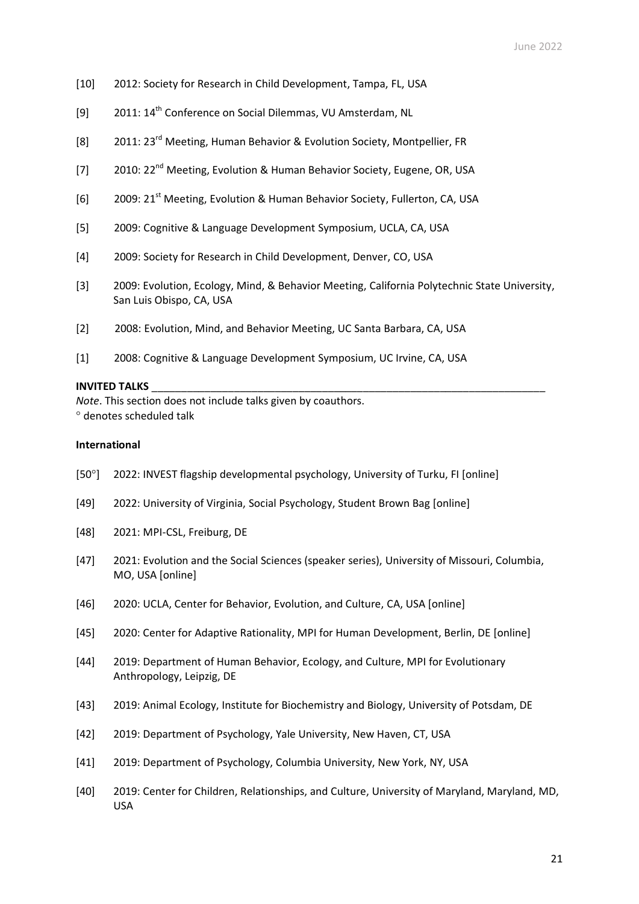- [10] 2012: Society for Research in Child Development, Tampa, FL, USA
- [9] 2011: 14<sup>th</sup> Conference on Social Dilemmas, VU Amsterdam, NL
- [8] 2011: 23rd Meeting, Human Behavior & Evolution Society, Montpellier, FR
- [7] 2010: 22<sup>nd</sup> Meeting, Evolution & Human Behavior Society, Eugene, OR, USA
- [6] 2009: 21st Meeting, Evolution & Human Behavior Society, Fullerton, CA, USA
- [5] 2009: Cognitive & Language Development Symposium, UCLA, CA, USA
- [4] 2009: Society for Research in Child Development, Denver, CO, USA
- [3] 2009: Evolution, Ecology, Mind, & Behavior Meeting, California Polytechnic State University, San Luis Obispo, CA, USA
- [2] 2008: Evolution, Mind, and Behavior Meeting, UC Santa Barbara, CA, USA
- [1] 2008: Cognitive & Language Development Symposium, UC Irvine, CA, USA

### **INVITED TALKS**

*Note*. This section does not include talks given by coauthors. denotes scheduled talk

#### **International**

- [50°] 2022: INVEST flagship developmental psychology, University of Turku, FI [online]
- [49] 2022: University of Virginia, Social Psychology, Student Brown Bag [online]
- [48] 2021: MPI-CSL, Freiburg, DE
- [47] 2021: Evolution and the Social Sciences (speaker series), University of Missouri, Columbia, MO, USA [online]
- [46] 2020: UCLA, Center for Behavior, Evolution, and Culture, CA, USA [online]
- [45] 2020: Center for Adaptive Rationality, MPI for Human Development, Berlin, DE [online]
- [44] 2019: Department of Human Behavior, Ecology, and Culture, MPI for Evolutionary Anthropology, Leipzig, DE
- [43] 2019: Animal Ecology, Institute for Biochemistry and Biology, University of Potsdam, DE
- [42] 2019: Department of Psychology, Yale University, New Haven, CT, USA
- [41] 2019: Department of Psychology, Columbia University, New York, NY, USA
- [40] 2019: Center for Children, Relationships, and Culture, University of Maryland, Maryland, MD, USA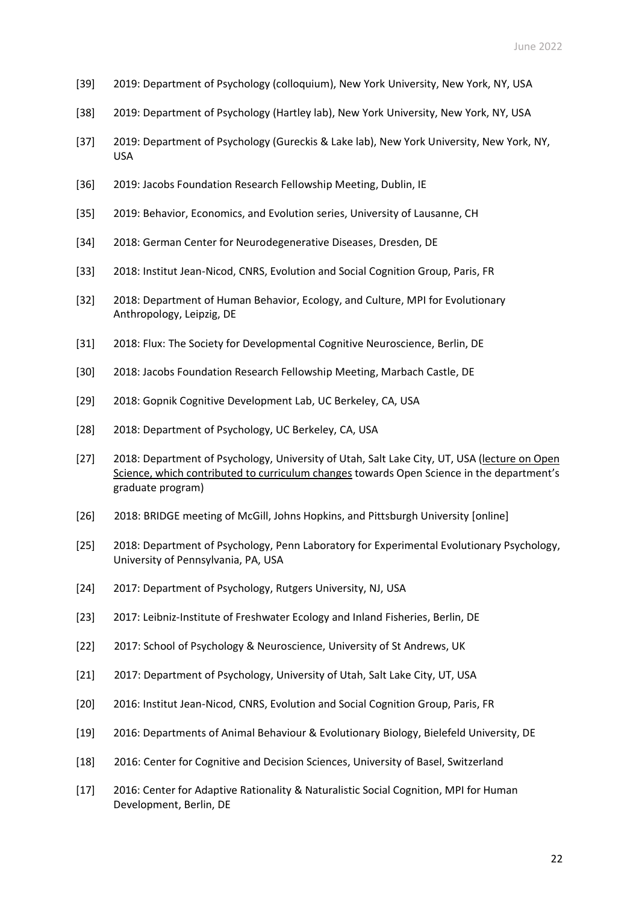- [39] 2019: Department of Psychology (colloquium), New York University, New York, NY, USA
- [38] 2019: Department of Psychology (Hartley lab), New York University, New York, NY, USA
- [37] 2019: Department of Psychology (Gureckis & Lake lab), New York University, New York, NY, USA
- [36] 2019: Jacobs Foundation Research Fellowship Meeting, Dublin, IE
- [35] 2019: Behavior, Economics, and Evolution series, University of Lausanne, CH
- [34] 2018: German Center for Neurodegenerative Diseases, Dresden, DE
- [33] 2018: Institut Jean-Nicod, CNRS, Evolution and Social Cognition Group, Paris, FR
- [32] 2018: Department of Human Behavior, Ecology, and Culture, MPI for Evolutionary Anthropology, Leipzig, DE
- [31] 2018: Flux: The Society for Developmental Cognitive Neuroscience, Berlin, DE
- [30] 2018: Jacobs Foundation Research Fellowship Meeting, Marbach Castle, DE
- [29] 2018: Gopnik Cognitive Development Lab, UC Berkeley, CA, USA
- [28] 2018: Department of Psychology, UC Berkeley, CA, USA
- [27] 2018: Department of Psychology, University of Utah, Salt Lake City, UT, USA (lecture on Open Science, which contributed to curriculum changes towards Open Science in the department's graduate program)
- [26] 2018: BRIDGE meeting of McGill, Johns Hopkins, and Pittsburgh University [online]
- [25] 2018: Department of Psychology, Penn Laboratory for Experimental Evolutionary Psychology, University of Pennsylvania, PA, USA
- [24] 2017: Department of Psychology, Rutgers University, NJ, USA
- [23] 2017: Leibniz-Institute of Freshwater Ecology and Inland Fisheries, Berlin, DE
- [22] 2017: School of Psychology & Neuroscience, University of St Andrews, UK
- [21] 2017: Department of Psychology, University of Utah, Salt Lake City, UT, USA
- [20] 2016: Institut Jean-Nicod, CNRS, Evolution and Social Cognition Group, Paris, FR
- [19] 2016: Departments of Animal Behaviour & Evolutionary Biology, Bielefeld University, DE
- [18] 2016: Center for Cognitive and Decision Sciences, University of Basel, Switzerland
- [17] 2016: Center for Adaptive Rationality & Naturalistic Social Cognition, MPI for Human Development, Berlin, DE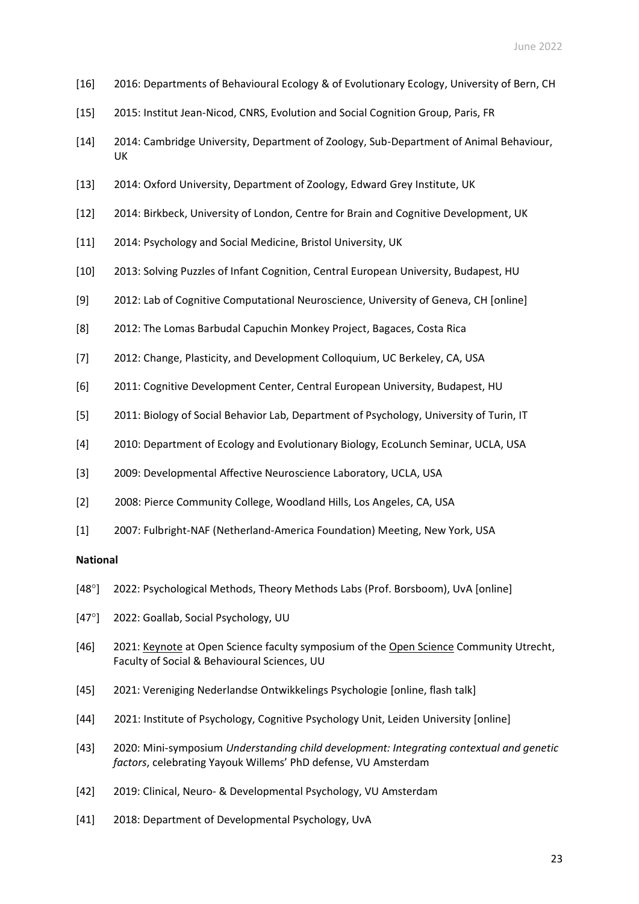- [16] 2016: Departments of Behavioural Ecology & of Evolutionary Ecology, University of Bern, CH
- [15] 2015: Institut Jean-Nicod, CNRS, Evolution and Social Cognition Group, Paris, FR
- [14] 2014: Cambridge University, Department of Zoology, Sub-Department of Animal Behaviour, UK
- [13] 2014: Oxford University, Department of Zoology, Edward Grey Institute, UK
- [12] 2014: Birkbeck, University of London, Centre for Brain and Cognitive Development, UK
- [11] 2014: Psychology and Social Medicine, Bristol University, UK
- [10] 2013: Solving Puzzles of Infant Cognition, Central European University, Budapest, HU
- [9] 2012: Lab of Cognitive Computational Neuroscience, University of Geneva, CH [online]
- [8] 2012: The Lomas Barbudal Capuchin Monkey Project, Bagaces, Costa Rica
- [7] 2012: Change, Plasticity, and Development Colloquium, UC Berkeley, CA, USA
- [6] 2011: Cognitive Development Center, Central European University, Budapest, HU
- [5] 2011: Biology of Social Behavior Lab, Department of Psychology, University of Turin, IT
- [4] 2010: Department of Ecology and Evolutionary Biology, EcoLunch Seminar, UCLA, USA
- [3] 2009: Developmental Affective Neuroscience Laboratory, UCLA, USA
- [2] 2008: Pierce Community College, Woodland Hills, Los Angeles, CA, USA
- [1] 2007: Fulbright-NAF (Netherland-America Foundation) Meeting, New York, USA

## **National**

- [48°] 2022: Psychological Methods, Theory Methods Labs (Prof. Borsboom), UvA [online]
- [47°] 2022: Goallab, Social Psychology, UU
- [46] 2021: Keynote at Open Science faculty symposium of the Open Science Community Utrecht, Faculty of Social & Behavioural Sciences, UU
- [45] 2021: Vereniging Nederlandse Ontwikkelings Psychologie [online, flash talk]
- [44] 2021: Institute of Psychology, Cognitive Psychology Unit, Leiden University [online]
- [43] 2020: Mini-symposium *Understanding child development: Integrating contextual and genetic factors*, celebrating Yayouk Willems' PhD defense, VU Amsterdam
- [42] 2019: Clinical, Neuro- & Developmental Psychology, VU Amsterdam
- [41] 2018: Department of Developmental Psychology, UvA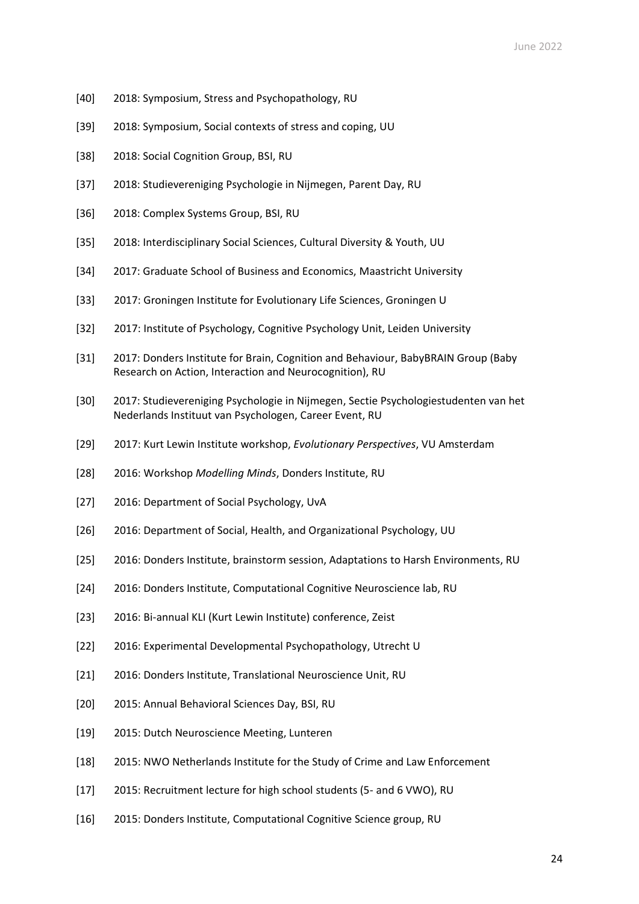- [40] 2018: Symposium, Stress and Psychopathology, RU
- [39] 2018: Symposium, Social contexts of stress and coping, UU
- [38] 2018: Social Cognition Group, BSI, RU
- [37] 2018: Studievereniging Psychologie in Nijmegen, Parent Day, RU
- [36] 2018: Complex Systems Group, BSI, RU
- [35] 2018: Interdisciplinary Social Sciences, Cultural Diversity & Youth, UU
- [34] 2017: Graduate School of Business and Economics, Maastricht University
- [33] 2017: Groningen Institute for Evolutionary Life Sciences, Groningen U
- [32] 2017: Institute of Psychology, Cognitive Psychology Unit, Leiden University
- [31] 2017: Donders Institute for Brain, Cognition and Behaviour, BabyBRAIN Group (Baby Research on Action, Interaction and Neurocognition), RU
- [30] 2017: Studievereniging Psychologie in Nijmegen, Sectie Psychologiestudenten van het Nederlands Instituut van Psychologen, Career Event, RU
- [29] 2017: Kurt Lewin Institute workshop, *Evolutionary Perspectives*, VU Amsterdam
- [28] 2016: Workshop *Modelling Minds*, Donders Institute, RU
- [27] 2016: Department of Social Psychology, UvA
- [26] 2016: Department of Social, Health, and Organizational Psychology, UU
- [25] 2016: Donders Institute, brainstorm session, Adaptations to Harsh Environments, RU
- [24] 2016: Donders Institute, Computational Cognitive Neuroscience lab, RU
- [23] 2016: Bi-annual KLI (Kurt Lewin Institute) conference, Zeist
- [22] 2016: Experimental Developmental Psychopathology, Utrecht U
- [21] 2016: Donders Institute, Translational Neuroscience Unit, RU
- [20] 2015: Annual Behavioral Sciences Day, BSI, RU
- [19] 2015: Dutch Neuroscience Meeting, Lunteren
- [18] 2015: NWO Netherlands Institute for the Study of Crime and Law Enforcement
- [17] 2015: Recruitment lecture for high school students (5- and 6 VWO), RU
- [16] 2015: Donders Institute, Computational Cognitive Science group, RU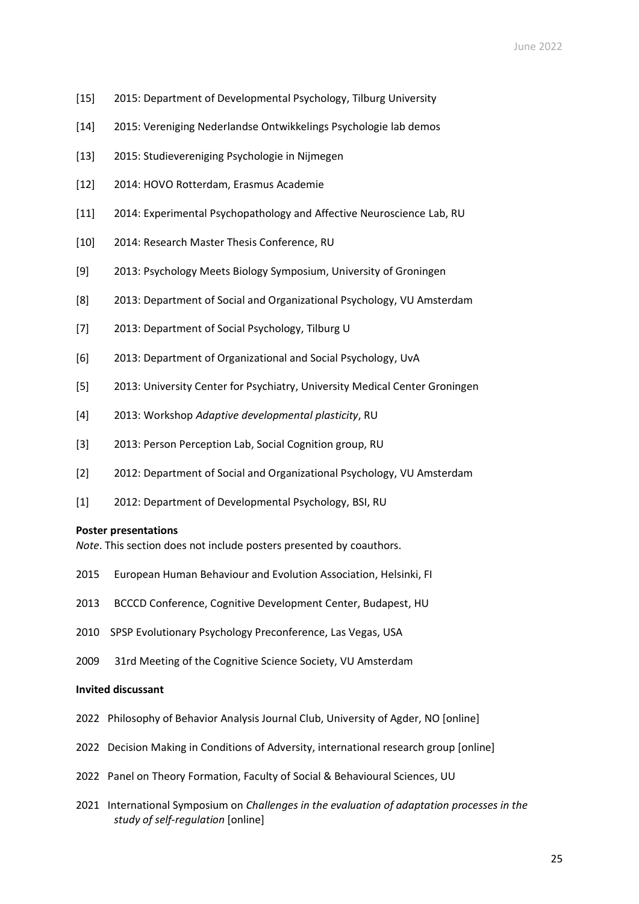- [15] 2015: Department of Developmental Psychology, Tilburg University
- [14] 2015: Vereniging Nederlandse Ontwikkelings Psychologie lab demos
- [13] 2015: Studievereniging Psychologie in Nijmegen
- [12] 2014: HOVO Rotterdam, Erasmus Academie
- [11] 2014: Experimental Psychopathology and Affective Neuroscience Lab, RU
- [10] 2014: Research Master Thesis Conference, RU
- [9] 2013: Psychology Meets Biology Symposium, University of Groningen
- [8] 2013: Department of Social and Organizational Psychology, VU Amsterdam
- [7] 2013: Department of Social Psychology, Tilburg U
- [6] 2013: Department of Organizational and Social Psychology, UvA
- [5] 2013: University Center for Psychiatry, University Medical Center Groningen
- [4] 2013: Workshop *Adaptive developmental plasticity*, RU
- [3] 2013: Person Perception Lab, Social Cognition group, RU
- [2] 2012: Department of Social and Organizational Psychology, VU Amsterdam
- [1] 2012: Department of Developmental Psychology, BSI, RU

#### **Poster presentations**

*Note*. This section does not include posters presented by coauthors.

- 2015 European Human Behaviour and Evolution Association, Helsinki, FI
- 2013 BCCCD Conference, Cognitive Development Center, Budapest, HU
- 2010 SPSP Evolutionary Psychology Preconference, Las Vegas, USA
- 2009 31rd Meeting of the Cognitive Science Society, VU Amsterdam

### **Invited discussant**

- 2022 Philosophy of Behavior Analysis Journal Club, University of Agder, NO [online]
- 2022 Decision Making in Conditions of Adversity, international research group [online]
- 2022 Panel on Theory Formation, Faculty of Social & Behavioural Sciences, UU
- 2021 International Symposium on *Challenges in the evaluation of adaptation processes in the study of self-regulation* [online]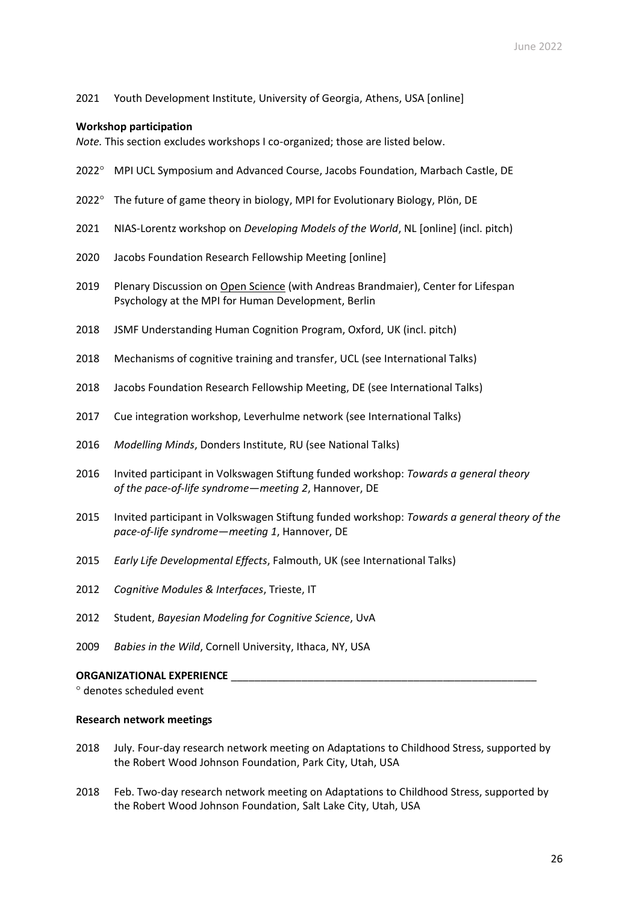### 2021 Youth Development Institute, University of Georgia, Athens, USA [online]

### **Workshop participation**

*Note.* This section excludes workshops I co-organized; those are listed below.

- 2022<sup>o</sup> MPI UCL Symposium and Advanced Course, Jacobs Foundation, Marbach Castle, DE
- 2022° The future of game theory in biology, MPI for Evolutionary Biology, Plön, DE
- 2021 NIAS-Lorentz workshop on *Developing Models of the World*, NL [online] (incl. pitch)
- 2020 Jacobs Foundation Research Fellowship Meeting [online]
- 2019 Plenary Discussion on Open Science (with Andreas Brandmaier), Center for Lifespan Psychology at the MPI for Human Development, Berlin
- 2018 JSMF Understanding Human Cognition Program, Oxford, UK (incl. pitch)
- 2018 Mechanisms of cognitive training and transfer, UCL (see International Talks)
- 2018 Jacobs Foundation Research Fellowship Meeting, DE (see International Talks)
- 2017 Cue integration workshop, Leverhulme network (see International Talks)
- 2016 *Modelling Minds*, Donders Institute, RU (see National Talks)
- 2016 Invited participant in Volkswagen Stiftung funded workshop: *Towards a general theory of the pace-of-life syndrome—meeting 2*, Hannover, DE
- 2015 Invited participant in Volkswagen Stiftung funded workshop: *Towards a general theory of the pace-of-life syndrome—meeting 1*, Hannover, DE
- 2015 *Early Life Developmental Effects*, Falmouth, UK (see International Talks)
- 2012 *Cognitive Modules & Interfaces*, Trieste, IT
- 2012 Student, *Bayesian Modeling for Cognitive Science*, UvA
- 2009 *Babies in the Wild*, Cornell University, Ithaca, NY, USA

## **ORGANIZATIONAL EXPERIENCE**

denotes scheduled event

### **Research network meetings**

- 2018 July. Four-day research network meeting on Adaptations to Childhood Stress, supported by the Robert Wood Johnson Foundation, Park City, Utah, USA
- 2018 Feb. Two-day research network meeting on Adaptations to Childhood Stress, supported by the Robert Wood Johnson Foundation, Salt Lake City, Utah, USA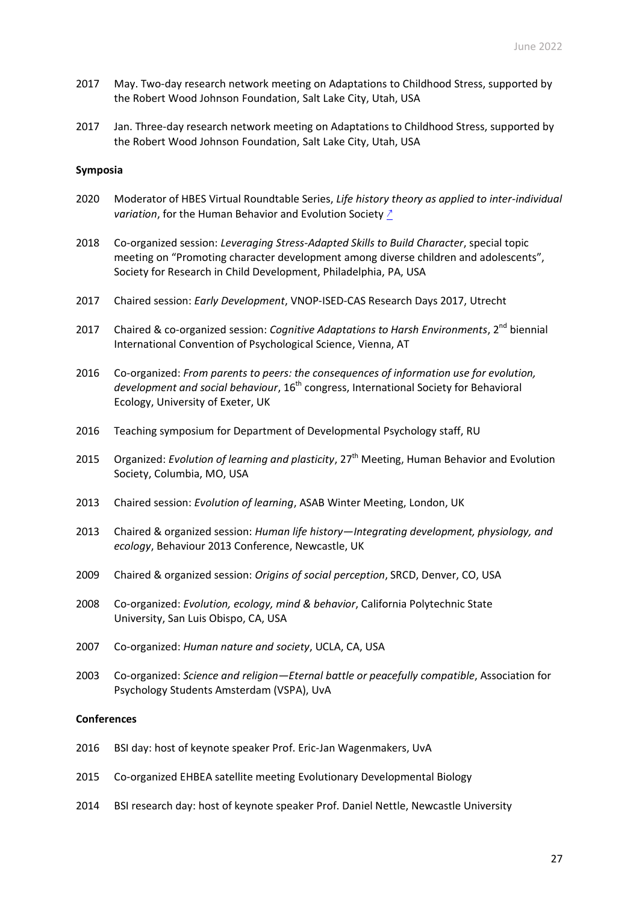- 2017 May. Two-day research network meeting on Adaptations to Childhood Stress, supported by the Robert Wood Johnson Foundation, Salt Lake City, Utah, USA
- 2017 Jan. Three-day research network meeting on Adaptations to Childhood Stress, supported by the Robert Wood Johnson Foundation, Salt Lake City, Utah, USA

#### **Symposia**

- 2020 Moderator of HBES Virtual Roundtable Series, *Life history theory as applied to inter-individual variation*, for the Human Behavior and Evolution Society [↗](https://www.youtube.com/watch?v=OOOVNK8WpaA&t=1s)
- 2018 Co-organized session: *Leveraging Stress-Adapted Skills to Build Character*, special topic meeting on "Promoting character development among diverse children and adolescents", Society for Research in Child Development, Philadelphia, PA, USA
- 2017 Chaired session: *Early Development*, VNOP-ISED-CAS Research Days 2017, Utrecht
- 2017 Chaired & co-organized session: Cognitive Adaptations to Harsh Environments, 2<sup>nd</sup> biennial International Convention of Psychological Science, Vienna, AT
- 2016 Co-organized: *From parents to peers: the consequences of information use for evolution, development and social behaviour*, 16th congress, International Society for Behavioral Ecology, University of Exeter, UK
- 2016 Teaching symposium for Department of Developmental Psychology staff, RU
- 2015 Organized: Evolution of learning and plasticity, 27<sup>th</sup> Meeting, Human Behavior and Evolution Society, Columbia, MO, USA
- 2013 Chaired session: *Evolution of learning*, ASAB Winter Meeting, London, UK
- 2013 Chaired & organized session: *Human life history—Integrating development, physiology, and ecology*, Behaviour 2013 Conference, Newcastle, UK
- 2009 Chaired & organized session: *Origins of social perception*, SRCD, Denver, CO, USA
- 2008 Co-organized: *Evolution, ecology, mind & behavior*, California Polytechnic State University, San Luis Obispo, CA, USA
- 2007 Co-organized: *Human nature and society*, UCLA, CA, USA
- 2003 Co-organized: *Science and religion—Eternal battle or peacefully compatible*, Association for Psychology Students Amsterdam (VSPA), UvA

#### **Conferences**

- 2016 BSI day: host of keynote speaker Prof. Eric-Jan Wagenmakers, UvA
- 2015 Co-organized EHBEA satellite meeting Evolutionary Developmental Biology
- 2014 BSI research day: host of keynote speaker Prof. Daniel Nettle, Newcastle University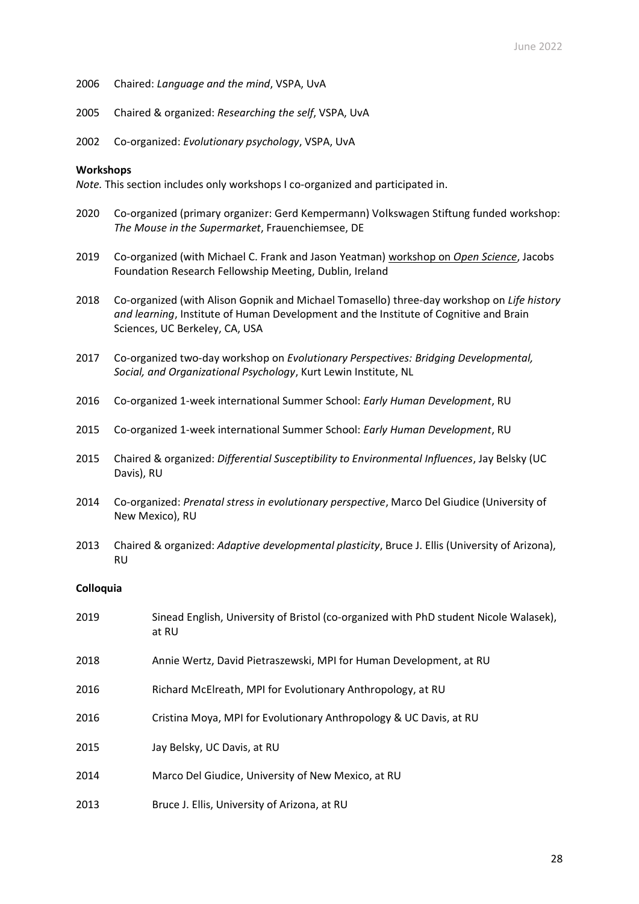- Chaired: *Language and the mind*, VSPA, UvA
- Chaired & organized: *Researching the self*, VSPA, UvA
- Co-organized: *Evolutionary psychology*, VSPA, UvA

### **Workshops**

*Note.* This section includes only workshops I co-organized and participated in.

- Co-organized (primary organizer: Gerd Kempermann) Volkswagen Stiftung funded workshop: *The Mouse in the Supermarket*, Frauenchiemsee, DE
- Co-organized (with Michael C. Frank and Jason Yeatman) workshop on *Open Science*, Jacobs Foundation Research Fellowship Meeting, Dublin, Ireland
- Co-organized (with Alison Gopnik and Michael Tomasello) three-day workshop on *Life history and learning*, Institute of Human Development and the Institute of Cognitive and Brain Sciences, UC Berkeley, CA, USA
- Co-organized two-day workshop on *Evolutionary Perspectives: Bridging Developmental, Social, and Organizational Psychology*, Kurt Lewin Institute, NL
- Co-organized 1-week international Summer School: *Early Human Development*, RU
- Co-organized 1-week international Summer School: *Early Human Development*, RU
- Chaired & organized: *Differential Susceptibility to Environmental Influences*, Jay Belsky (UC Davis), RU
- Co-organized: *Prenatal stress in evolutionary perspective*, Marco Del Giudice (University of New Mexico), RU
- Chaired & organized: *Adaptive developmental plasticity*, Bruce J. Ellis (University of Arizona), RU

### **Colloquia**

| 2019 | Sinead English, University of Bristol (co-organized with PhD student Nicole Walasek),<br>at RU |
|------|------------------------------------------------------------------------------------------------|
| 2018 | Annie Wertz, David Pietraszewski, MPI for Human Development, at RU                             |
| 2016 | Richard McElreath, MPI for Evolutionary Anthropology, at RU                                    |
| 2016 | Cristina Moya, MPI for Evolutionary Anthropology & UC Davis, at RU                             |
| 2015 | Jay Belsky, UC Davis, at RU                                                                    |
| 2014 | Marco Del Giudice, University of New Mexico, at RU                                             |
| 2013 | Bruce J. Ellis, University of Arizona, at RU                                                   |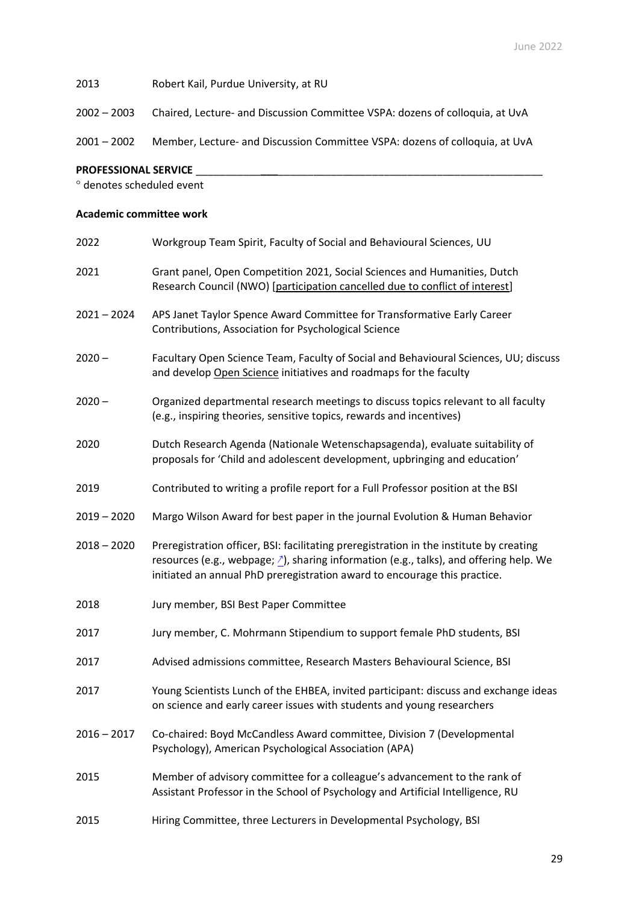## 2013 Robert Kail, Purdue University, at RU

2002 – 2003 Chaired, Lecture- and Discussion Committee VSPA: dozens of colloquia, at UvA

2001 – 2002 Member, Lecture- and Discussion Committee VSPA: dozens of colloquia, at UvA

### **PROFESSIONAL SERVICE** \_\_\_\_\_\_\_\_\_\_\_**\_\_\_**\_\_\_\_\_\_\_\_\_\_\_\_\_\_\_\_\_\_\_\_\_\_\_\_\_\_\_\_\_\_\_\_\_\_\_\_\_\_\_\_\_\_\_\_\_

denotes scheduled event

## **Academic committee work**

| 2022          | Workgroup Team Spirit, Faculty of Social and Behavioural Sciences, UU                                                                                                                                                                                                     |
|---------------|---------------------------------------------------------------------------------------------------------------------------------------------------------------------------------------------------------------------------------------------------------------------------|
| 2021          | Grant panel, Open Competition 2021, Social Sciences and Humanities, Dutch<br>Research Council (NWO) [participation cancelled due to conflict of interest]                                                                                                                 |
| $2021 - 2024$ | APS Janet Taylor Spence Award Committee for Transformative Early Career<br>Contributions, Association for Psychological Science                                                                                                                                           |
| $2020 -$      | Facultary Open Science Team, Faculty of Social and Behavioural Sciences, UU; discuss<br>and develop Open Science initiatives and roadmaps for the faculty                                                                                                                 |
| $2020 -$      | Organized departmental research meetings to discuss topics relevant to all faculty<br>(e.g., inspiring theories, sensitive topics, rewards and incentives)                                                                                                                |
| 2020          | Dutch Research Agenda (Nationale Wetenschapsagenda), evaluate suitability of<br>proposals for 'Child and adolescent development, upbringing and education'                                                                                                                |
| 2019          | Contributed to writing a profile report for a Full Professor position at the BSI                                                                                                                                                                                          |
| $2019 - 2020$ | Margo Wilson Award for best paper in the journal Evolution & Human Behavior                                                                                                                                                                                               |
| $2018 - 2020$ | Preregistration officer, BSI: facilitating preregistration in the institute by creating<br>resources (e.g., webpage; $\triangle$ ), sharing information (e.g., talks), and offering help. We<br>initiated an annual PhD preregistration award to encourage this practice. |
| 2018          | Jury member, BSI Best Paper Committee                                                                                                                                                                                                                                     |
| 2017          | Jury member, C. Mohrmann Stipendium to support female PhD students, BSI                                                                                                                                                                                                   |
| 2017          | Advised admissions committee, Research Masters Behavioural Science, BSI                                                                                                                                                                                                   |
| 2017          | Young Scientists Lunch of the EHBEA, invited participant: discuss and exchange ideas<br>on science and early career issues with students and young researchers                                                                                                            |
| $2016 - 2017$ | Co-chaired: Boyd McCandless Award committee, Division 7 (Developmental<br>Psychology), American Psychological Association (APA)                                                                                                                                           |
| 2015          | Member of advisory committee for a colleague's advancement to the rank of<br>Assistant Professor in the School of Psychology and Artificial Intelligence, RU                                                                                                              |
| 2015          | Hiring Committee, three Lecturers in Developmental Psychology, BSI                                                                                                                                                                                                        |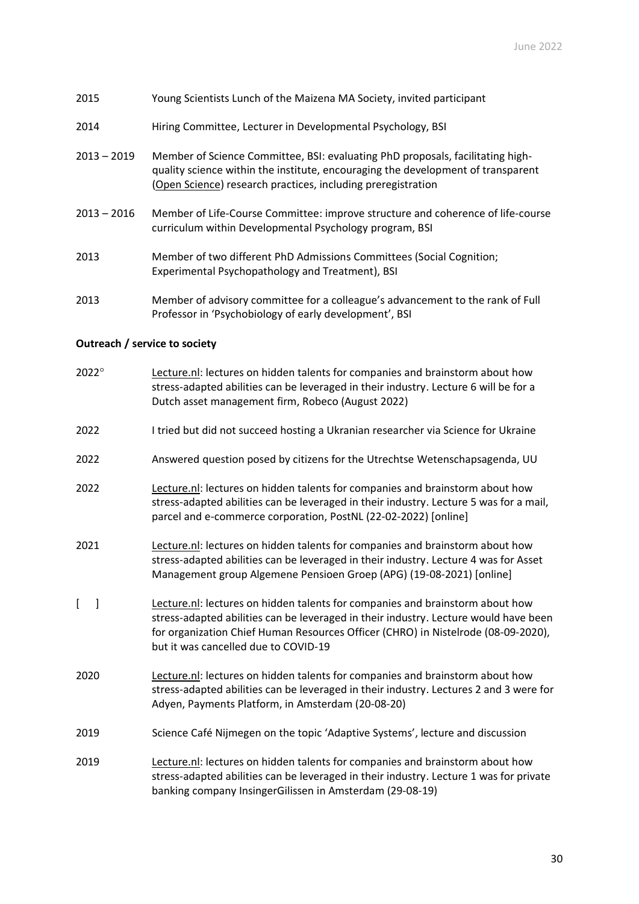- 2015 Young Scientists Lunch of the Maizena MA Society, invited participant
- 2014 Hiring Committee, Lecturer in Developmental Psychology, BSI
- 2013 2019 Member of Science Committee, BSI: evaluating PhD proposals, facilitating highquality science within the institute, encouraging the development of transparent (Open Science) research practices, including preregistration
- 2013 2016 Member of Life-Course Committee: improve structure and coherence of life-course curriculum within Developmental Psychology program, BSI
- 2013 Member of two different PhD Admissions Committees (Social Cognition; Experimental Psychopathology and Treatment), BSI
- 2013 Member of advisory committee for a colleague's advancement to the rank of Full Professor in 'Psychobiology of early development', BSI

## **Outreach / service to society**

- $2022^{\circ}$  Lecture.nl: lectures on hidden talents for companies and brainstorm about how stress-adapted abilities can be leveraged in their industry. Lecture 6 will be for a Dutch asset management firm, Robeco (August 2022)
- 2022 I tried but did not succeed hosting a Ukranian researcher via Science for Ukraine
- 2022 Answered question posed by citizens for the Utrechtse Wetenschapsagenda, UU
- 2022 Lecture.nl: lectures on hidden talents for companies and brainstorm about how stress-adapted abilities can be leveraged in their industry. Lecture 5 was for a mail, parcel and e-commerce corporation, PostNL (22-02-2022) [online]
- 2021 Lecture.nl: lectures on hidden talents for companies and brainstorm about how stress-adapted abilities can be leveraged in their industry. Lecture 4 was for Asset Management group Algemene Pensioen Groep (APG) (19-08-2021) [online]
- [ ] Lecture.nl: lectures on hidden talents for companies and brainstorm about how stress-adapted abilities can be leveraged in their industry. Lecture would have been for organization Chief Human Resources Officer (CHRO) in Nistelrode (08-09-2020), but it was cancelled due to COVID-19
- 2020 Lecture.nl: lectures on hidden talents for companies and brainstorm about how stress-adapted abilities can be leveraged in their industry. Lectures 2 and 3 were for Adyen, Payments Platform, in Amsterdam (20-08-20)
- 2019 Science Café Nijmegen on the topic 'Adaptive Systems', lecture and discussion
- 2019 Lecture.nl: lectures on hidden talents for companies and brainstorm about how stress-adapted abilities can be leveraged in their industry. Lecture 1 was for private banking company InsingerGilissen in Amsterdam (29-08-19)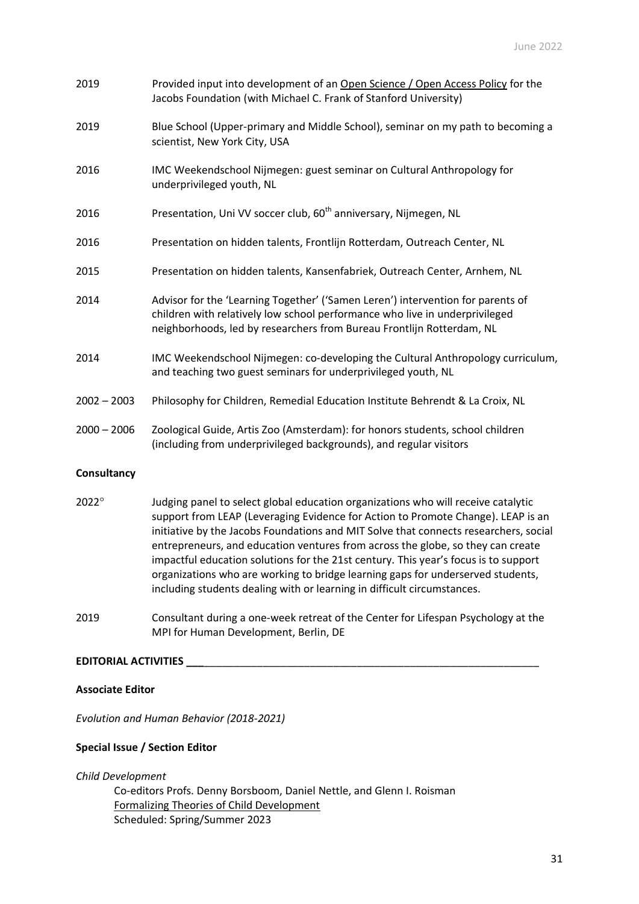| 2019          | Provided input into development of an Open Science / Open Access Policy for the<br>Jacobs Foundation (with Michael C. Frank of Stanford University)                                                                                     |
|---------------|-----------------------------------------------------------------------------------------------------------------------------------------------------------------------------------------------------------------------------------------|
| 2019          | Blue School (Upper-primary and Middle School), seminar on my path to becoming a<br>scientist, New York City, USA                                                                                                                        |
| 2016          | IMC Weekendschool Nijmegen: guest seminar on Cultural Anthropology for<br>underprivileged youth, NL                                                                                                                                     |
| 2016          | Presentation, Uni VV soccer club, 60 <sup>th</sup> anniversary, Nijmegen, NL                                                                                                                                                            |
| 2016          | Presentation on hidden talents, Frontlijn Rotterdam, Outreach Center, NL                                                                                                                                                                |
| 2015          | Presentation on hidden talents, Kansenfabriek, Outreach Center, Arnhem, NL                                                                                                                                                              |
| 2014          | Advisor for the 'Learning Together' ('Samen Leren') intervention for parents of<br>children with relatively low school performance who live in underprivileged<br>neighborhoods, led by researchers from Bureau Frontlijn Rotterdam, NL |
| 2014          | IMC Weekendschool Nijmegen: co-developing the Cultural Anthropology curriculum,<br>and teaching two guest seminars for underprivileged youth, NL                                                                                        |
| $2002 - 2003$ | Philosophy for Children, Remedial Education Institute Behrendt & La Croix, NL                                                                                                                                                           |
| $2000 - 2006$ | Zoological Guide, Artis Zoo (Amsterdam): for honors students, school children<br>(including from underprivileged backgrounds), and regular visitors                                                                                     |
|               |                                                                                                                                                                                                                                         |

# **Consultancy**

- 2022<sup>o</sup> Judging panel to select global education organizations who will receive catalytic support from LEAP (Leveraging Evidence for Action to Promote Change). LEAP is an initiative by the Jacobs Foundations and MIT Solve that connects researchers, social entrepreneurs, and education ventures from across the globe, so they can create impactful education solutions for the 21st century. This year's focus is to support organizations who are working to bridge learning gaps for underserved students, including students dealing with or learning in difficult circumstances.
- 2019 Consultant during a one-week retreat of the Center for Lifespan Psychology at the MPI for Human Development, Berlin, DE

# **EDITORIAL ACTIVITIES \_\_\_**\_\_\_\_\_\_\_\_\_\_\_\_\_\_\_\_\_\_\_\_\_\_\_\_\_\_\_\_\_\_\_\_\_\_\_\_\_\_\_\_\_\_\_\_\_\_\_\_\_\_\_\_\_\_\_\_\_

# **Associate Editor**

*Evolution and Human Behavior (2018-2021)*

# **Special Issue / Section Editor**

*Child Development*

Co-editors Profs. Denny Borsboom, Daniel Nettle, and Glenn I. Roisman Formalizing Theories of Child Development Scheduled: Spring/Summer 2023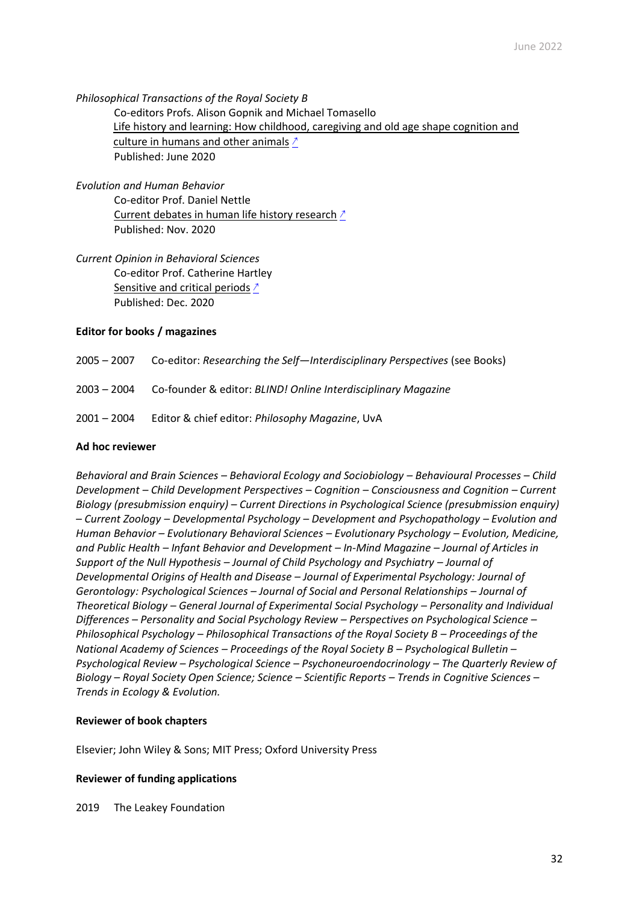*Philosophical Transactions of the Royal Society B* Co-editors Profs. Alison Gopnik and Michael Tomasello Life history and learning: How childhood, caregiving and old age shape cognition and culture in humans and other animals [↗](https://royalsocietypublishing.org/toc/rstb/2020/375/1803) Published: June 2020

*Evolution and Human Behavior* Co-editor Prof. Daniel Nettle Current debates in human life history research [↗](https://www.sciencedirect.com/journal/evolution-and-human-behavior/vol/41/issue/6) Published: Nov. 2020

*Current Opinion in Behavioral Sciences* Co-editor Prof. Catherine Hartley Sensitive and critical periods [↗](https://www.sciencedirect.com/journal/current-opinion-in-behavioral-sciences/vol/36/suppl/C) Published: Dec. 2020

## **Editor for books / magazines**

2005 – 2007 Co-editor: *Researching the Self—Interdisciplinary Perspectives* (see Books)

- 2003 2004 Co-founder & editor: *BLIND! Online Interdisciplinary Magazine*
- 2001 2004 Editor & chief editor: *Philosophy Magazine*, UvA

### **Ad hoc reviewer**

*Behavioral and Brain Sciences – Behavioral Ecology and Sociobiology – Behavioural Processes – Child Development – Child Development Perspectives – Cognition – Consciousness and Cognition – Current Biology (presubmission enquiry) – Current Directions in Psychological Science (presubmission enquiry) – Current Zoology – Developmental Psychology – Development and Psychopathology – Evolution and Human Behavior – Evolutionary Behavioral Sciences – Evolutionary Psychology – Evolution, Medicine, and Public Health – Infant Behavior and Development – In-Mind Magazine – Journal of Articles in Support of the Null Hypothesis – Journal of Child Psychology and Psychiatry – Journal of Developmental Origins of Health and Disease – Journal of Experimental Psychology: Journal of Gerontology: Psychological Sciences – Journal of Social and Personal Relationships – Journal of Theoretical Biology – General Journal of Experimental Social Psychology – Personality and Individual Differences – Personality and Social Psychology Review – Perspectives on Psychological Science – Philosophical Psychology – Philosophical Transactions of the Royal Society B – Proceedings of the National Academy of Sciences – Proceedings of the Royal Society B – Psychological Bulletin – Psychological Review – Psychological Science – Psychoneuroendocrinology – The Quarterly Review of Biology – Royal Society Open Science; Science – Scientific Reports – Trends in Cognitive Sciences – Trends in Ecology & Evolution.*

### **Reviewer of book chapters**

Elsevier; John Wiley & Sons; MIT Press; Oxford University Press

### **Reviewer of funding applications**

2019 The Leakey Foundation